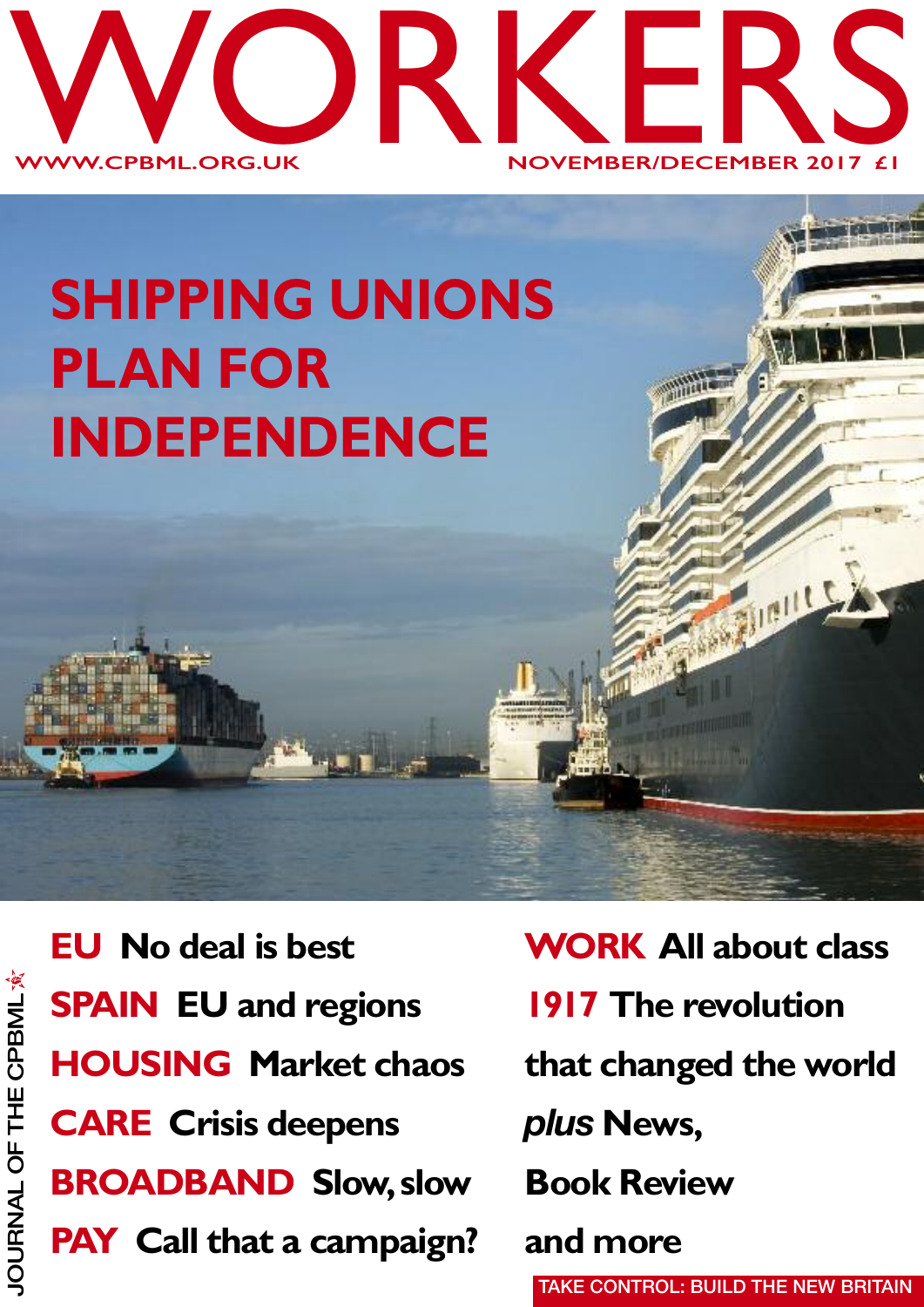

# **SHIPPING UNIONS PLAN FOR INDEPENDENCE**

**EU No deal is best SPAIN EU and regions HOUSING Market chaos CARE Crisis deepens BROADBAND Slow,slow PAY Call that a campaign?**

**WORK All about class 1917 The revolution that changed the world** *plus* **News, Book Review and more TAKE CONTROL: BUILD THE NEW BRITAIN**

**STIRILLS**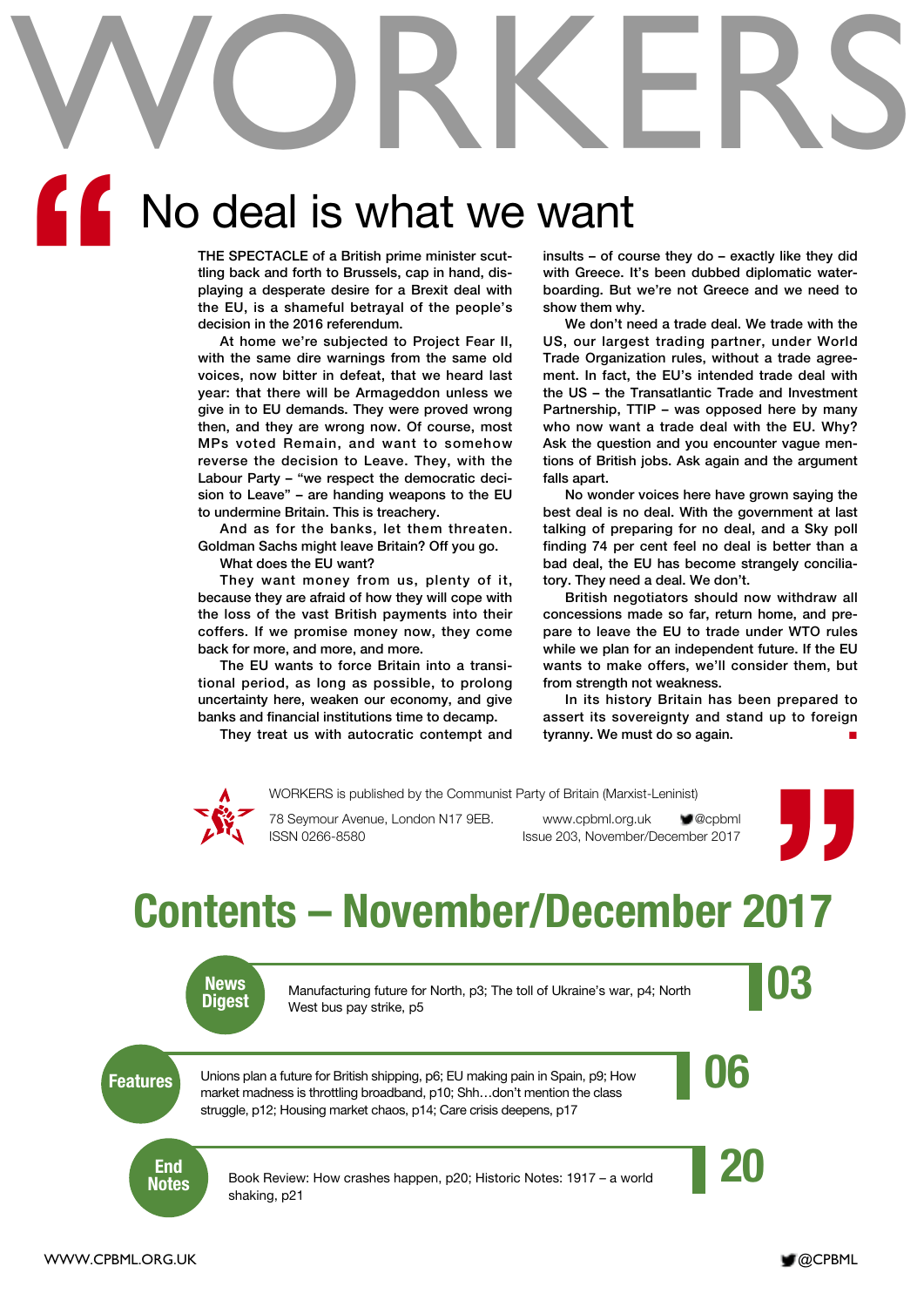# WORKERS

# No deal is what we want **"**

**THE SPECTACLE of a British prime minister scuttling back and forth to Brussels, cap in hand, displaying a desperate desire for a Brexit deal with the EU, is a shameful betrayal of the people's decision in the 2016 referendum.**

**At home we're subjected to Project Fear II, with the same dire warnings from the same old voices, now bitter in defeat, that we heard last year: that there will be Armageddon unless we give in to EU demands. They were proved wrong then, and they are wrong now. Of course, most MPs voted Remain, and want to somehow reverse the decision to Leave. They, with the Labour Party – "we respect the democratic decision to Leave" – are handing weapons to the EU to undermine Britain. This is treachery.**

**And as for the banks, let them threaten. Goldman Sachs might leave Britain? Off you go. What does the EU want?**

**They want money from us, plenty of it, because they are afraid of how they will cope with the loss of the vast British payments into their coffers. If we promise money now, they come back for more, and more, and more.**

**The EU wants to force Britain into a transitional period, as long as possible, to prolong uncertainty here, weaken our economy, and give banks and financial institutions time to decamp.**

**They treat us with autocratic contempt and**

**insults – of course they do – exactly like they did with Greece. It's been dubbed diplomatic waterboarding. But we're not Greece and we need to show them why.**

**We don't need a trade deal. We trade with the US, our largest trading partner, under World Trade Organization rules, without a trade agreement. In fact, the EU's intended trade deal with the US – the Transatlantic Trade and Investment Partnership, TTIP – was opposed here by many who now want a trade deal with the EU. Why? Ask the question and you encounter vague mentions of British jobs. Ask again and the argument falls apart.**

**No wonder voices here have grown saying the best deal is no deal. With the government at last talking of preparing for no deal, and a Sky poll finding 74 per cent feel no deal is better than a bad deal, the EU has become strangely conciliatory. They need a deal. We don't.**

**British negotiators should now withdraw all concessions made so far, return home, and prepare to leave the EU to trade under WTO rules while we plan for an independent future. If the EU wants to make offers, we'll consider them, but from strength not weakness.**

**In its history Britain has been prepared to assert its sovereignty and stand up to foreign tyranny. We must do so again. ■**



WORKERS is published by the Communist Party of Britain (Marxist-Leninist)

ISSN 0266-8580 Issue 203, November/December 2017

78 Seymour Avenue, London N17 9EB. www.cpbml.org.uk **@**cpbml



# **Contents – November/December 2017**



News<br>Digest Manufacturing future for North, p3; The toll of Ukraine's war, p4; North<br>Digest West bus pay strike, p5 Manufacturing future for North, p3; The toll of Ukraine's war, p4; North West bus pay strike, p5

**Features** Unions plan a future for British shipping, p6; EU making pain in Spain, p9; How<br>market madness is throttling broadband. p10: Shh...don't mention the class Unions plan a future for British shipping, p6; EU making pain in Spain, p9; How market madness is throttling broadband, p10; Shh…don't mention the class struggle, p12; Housing market chaos, p14; Care crisis deepens, p17

**End<br>Notes** 

Book Review: How crashes happen, p20; Historic Notes: 1917 – a world shaking, p21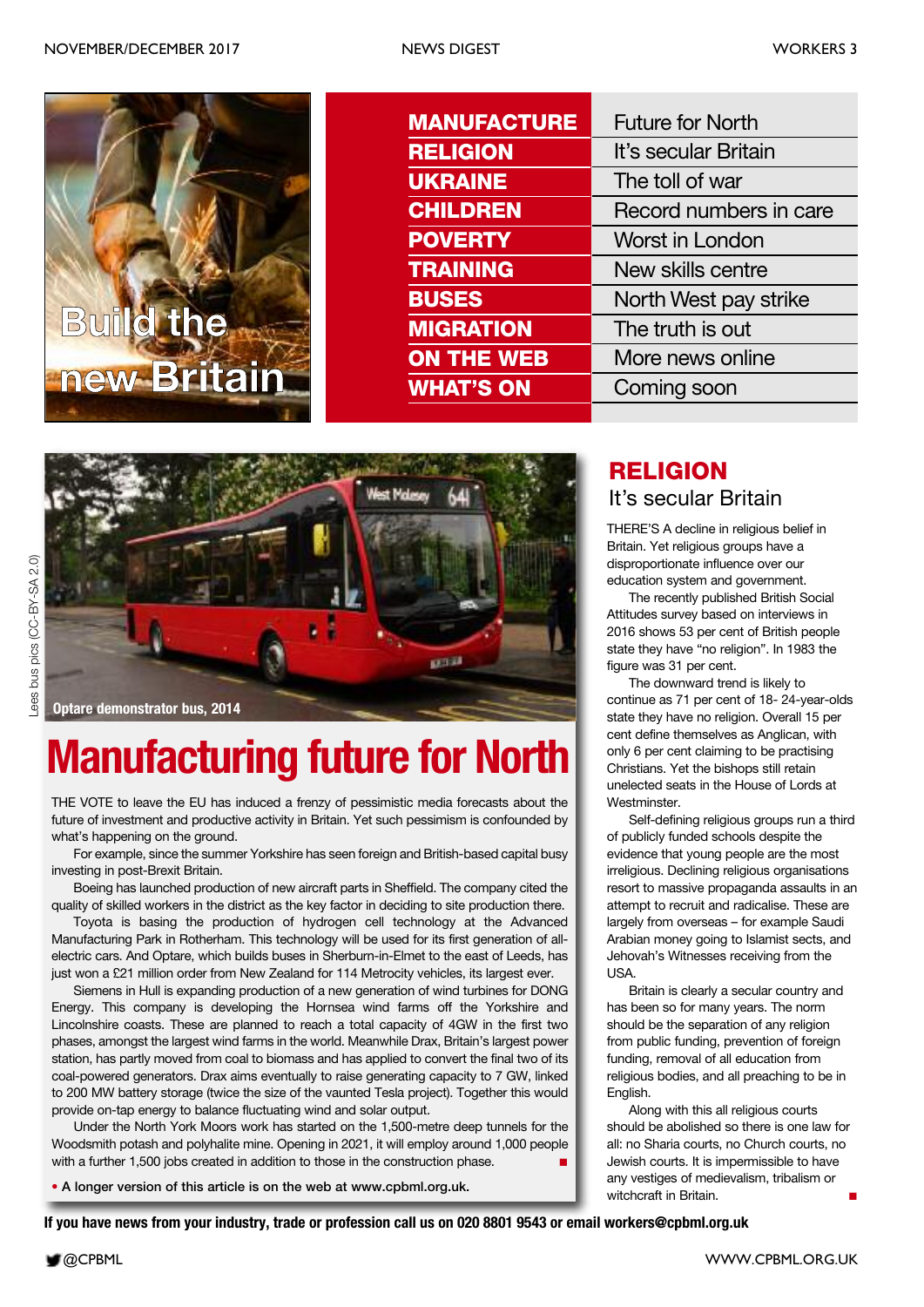

| <b>MANUFACTURE</b> | <b>Future for North</b> |
|--------------------|-------------------------|
| <b>RELIGION</b>    | It's secular Britain    |
| <b>UKRAINE</b>     | The toll of war         |
| <b>CHILDREN</b>    | Record numbers in care  |
| <b>POVERTY</b>     | Worst in London         |
| <b>TRAINING</b>    | New skills centre       |
| <b>BUSES</b>       | North West pay strike   |
| <b>MIGRATION</b>   | The truth is out        |
| <b>ON THE WEB</b>  | More news online        |
| <b>WHAT'S ON</b>   | Coming soon             |
|                    |                         |





# **Manufacturing future for North**

THE VOTE to leave the EU has induced a frenzy of pessimistic media forecasts about the future of investment and productive activity in Britain. Yet such pessimism is confounded by what's happening on the ground.

For example, since the summer Yorkshire has seen foreign and British-based capital busy investing in post-Brexit Britain.

Boeing has launched production of new aircraft parts in Sheffield. The company cited the quality of skilled workers in the district as the key factor in deciding to site production there.

Toyota is basing the production of hydrogen cell technology at the Advanced Manufacturing Park in Rotherham. This technology will be used for its first generation of allelectric cars. And Optare, which builds buses in Sherburn-in-Elmet to the east of Leeds, has just won a £21 million order from New Zealand for 114 Metrocity vehicles, its largest ever.

Siemens in Hull is expanding production of a new generation of wind turbines for DONG Energy. This company is developing the Hornsea wind farms off the Yorkshire and Lincolnshire coasts. These are planned to reach a total capacity of 4GW in the first two phases, amongst the largest wind farms in the world. Meanwhile Drax, Britain's largest power station, has partly moved from coal to biomass and has applied to convert the final two of its coal-powered generators. Drax aims eventually to raise generating capacity to 7 GW, linked to 200 MW battery storage (twice the size of the vaunted Tesla project). Together this would provide on-tap energy to balance fluctuating wind and solar output.

Under the North York Moors work has started on the 1,500-metre deep tunnels for the Woodsmith potash and polyhalite mine. Opening in 2021, it will employ around 1,000 people with a further 1,500 jobs created in addition to those in the construction phase.

**• A longer version of this article is on the web at www.cpbml.org.uk.**

#### It's secular Britain **RELIGION**

THERE'S A decline in religious belief in Britain. Yet religious groups have a disproportionate influence over our education system and government.

The recently published British Social Attitudes survey based on interviews in 2016 shows 53 per cent of British people state they have "no religion". In 1983 the figure was 31 per cent.

The downward trend is likely to continue as 71 per cent of 18- 24-year-olds state they have no religion. Overall 15 per cent define themselves as Anglican, with only 6 per cent claiming to be practising Christians. Yet the bishops still retain unelected seats in the House of Lords at Westminster.

Self-defining religious groups run a third of publicly funded schools despite the evidence that young people are the most irreligious. Declining religious organisations resort to massive propaganda assaults in an attempt to recruit and radicalise. These are largely from overseas – for example Saudi Arabian money going to Islamist sects, and Jehovah's Witnesses receiving from the USA.

Britain is clearly a secular country and has been so for many years. The norm should be the separation of any religion from public funding, prevention of foreign funding, removal of all education from religious bodies, and all preaching to be in English.

Along with this all religious courts should be abolished so there is one law for all: no Sharia courts, no Church courts, no Jewish courts. It is impermissible to have any vestiges of medievalism, tribalism or witchcraft in Britain.

If you have news from your industry, trade or profession call us on 020 8801 9543 or email workers@cpbml.org.uk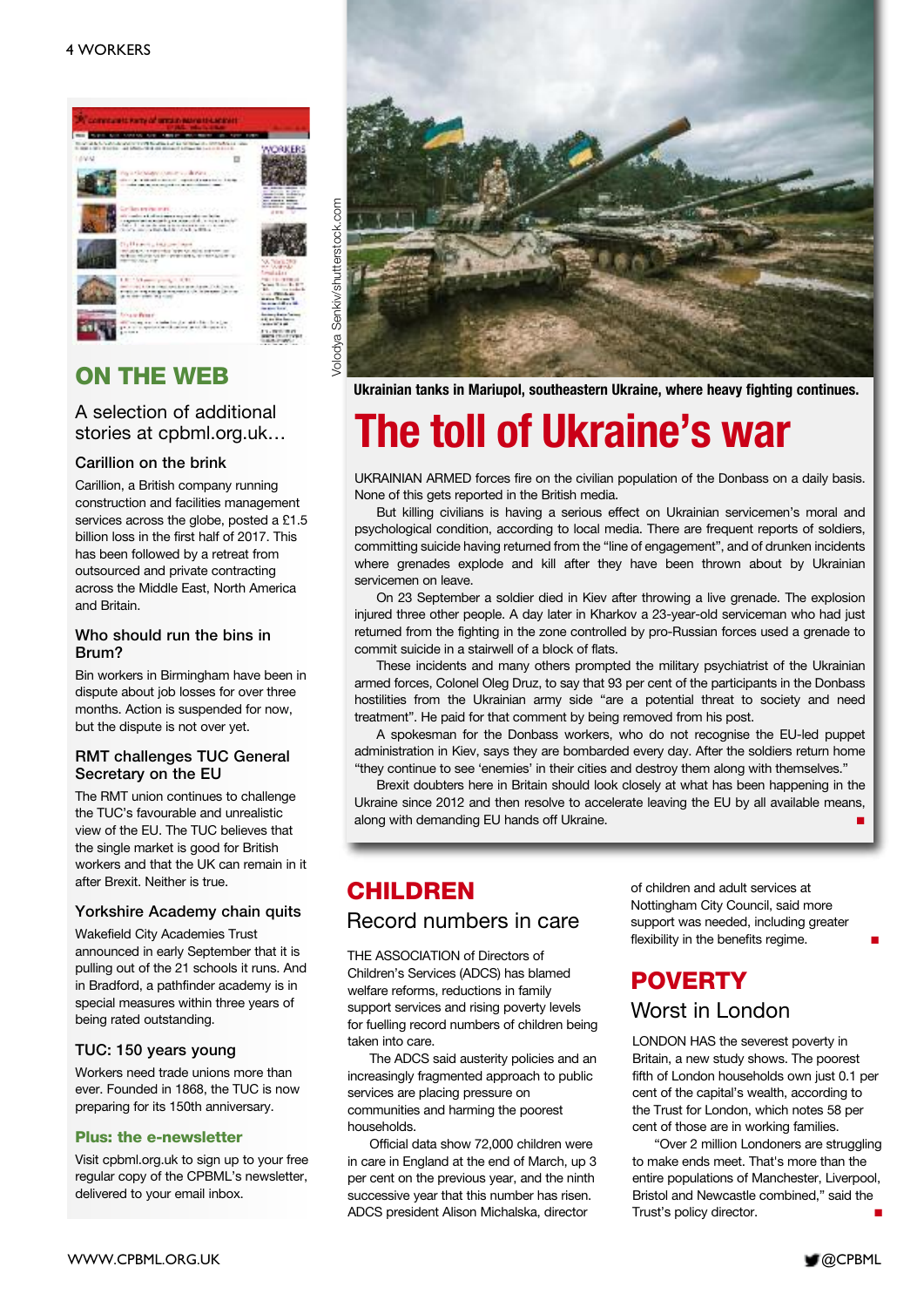

### **ON THE WEB**

#### A selection of additional stories at cpbml.org.uk…

#### **Carillion on the brink**

Carillion, a British company running construction and facilities management services across the globe, posted a £1.5 billion loss in the first half of 2017. This has been followed by a retreat from outsourced and private contracting across the Middle East, North America and Britain.

#### **Who should run the bins in Brum?**

Bin workers in Birmingham have been in dispute about job losses for over three months. Action is suspended for now, but the dispute is not over yet.

#### **RMT challenges TUC General Secretary on the EU**

The RMT union continues to challenge the TUC's favourable and unrealistic view of the EU. The TUC believes that the single market is good for British workers and that the UK can remain in it after Brexit. Neither is true.

#### **Yorkshire Academy chain quits**

Wakefield City Academies Trust announced in early September that it is pulling out of the 21 schools it runs. And in Bradford, a pathfinder academy is in special measures within three years of being rated outstanding.

#### **TUC: 150 years young**

Workers need trade unions more than ever. Founded in 1868, the TUC is now preparing for its 150th anniversary.

#### **Plus: the e-newsletter**

Visit cpbml.org.uk to sign up to your free regular copy of the CPBML's newsletter, delivered to your email inbox.



**Ukrainian tanks in Mariupol, southeastern Ukraine, where heavy fighting continues.**

# **The toll of Ukraine's war**

UKRAINIAN ARMED forces fire on the civilian population of the Donbass on a daily basis. None of this gets reported in the British media.

But killing civilians is having a serious effect on Ukrainian servicemen's moral and psychological condition, according to local media. There are frequent reports of soldiers, committing suicide having returned from the "line of engagement", and of drunken incidents where grenades explode and kill after they have been thrown about by Ukrainian servicemen on leave.

On 23 September a soldier died in Kiev after throwing a live grenade. The explosion injured three other people. A day later in Kharkov a 23-year-old serviceman who had just returned from the fighting in the zone controlled by pro-Russian forces used a grenade to commit suicide in a stairwell of a block of flats.

These incidents and many others prompted the military psychiatrist of the Ukrainian armed forces, Colonel Oleg Druz, to say that 93 per cent of the participants in the Donbass hostilities from the Ukrainian army side "are a potential threat to society and need treatment". He paid for that comment by being removed from his post.

A spokesman for the Donbass workers, who do not recognise the EU-led puppet administration in Kiev, says they are bombarded every day. After the soldiers return home "they continue to see 'enemies' in their cities and destroy them along with themselves."

Brexit doubters here in Britain should look closely at what has been happening in the Ukraine since 2012 and then resolve to accelerate leaving the EU by all available means, along with demanding EU hands off Ukraine. **■**

#### **CHILDREN**

#### Record numbers in care

THE ASSOCIATION of Directors of Children's Services (ADCS) has blamed welfare reforms, reductions in family support services and rising poverty levels for fuelling record numbers of children being taken into care.

The ADCS said austerity policies and an increasingly fragmented approach to public services are placing pressure on communities and harming the poorest households.

Official data show 72,000 children were in care in England at the end of March, up 3 per cent on the previous year, and the ninth successive year that this number has risen. ADCS president Alison Michalska, director

of children and adult services at Nottingham City Council, said more support was needed, including greater flexibility in the benefits regime.

# **POVERTY**

Worst in London

LONDON HAS the severest poverty in Britain, a new study shows. The poorest fifth of London households own just 0.1 per cent of the capital's wealth, according to the Trust for London, which notes 58 per cent of those are in working families.

"Over 2 million Londoners are struggling to make ends meet. That's more than the entire populations of Manchester, Liverpool, Bristol and Newcastle combined," said the Trust's policy director. **■**

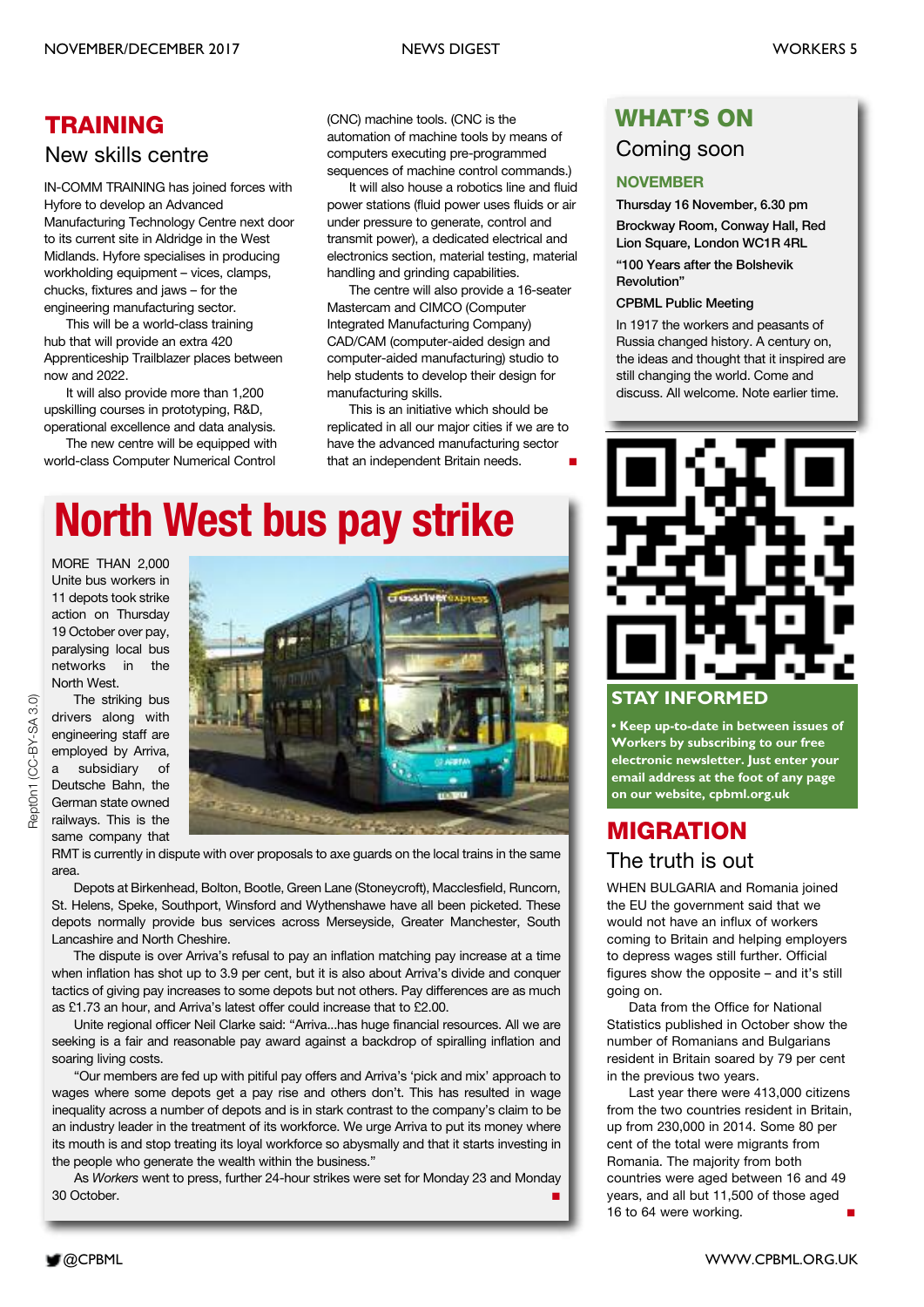### **TRAINING**

#### New skills centre

IN-COMM TRAINING has joined forces with Hyfore to develop an Advanced Manufacturing Technology Centre next door to its current site in Aldridge in the West Midlands. Hyfore specialises in producing workholding equipment – vices, clamps, chucks, fixtures and jaws – for the engineering manufacturing sector.

This will be a world-class training hub that will provide an extra 420 Apprenticeship Trailblazer places between now and 2022.

It will also provide more than 1,200 upskilling courses in prototyping, R&D, operational excellence and data analysis.

The new centre will be equipped with world-class Computer Numerical Control

(CNC) machine tools. (CNC is the automation of machine tools by means of computers executing pre-programmed sequences of machine control commands.)

It will also house a robotics line and fluid power stations (fluid power uses fluids or air under pressure to generate, control and transmit power), a dedicated electrical and electronics section, material testing, material handling and grinding capabilities.

The centre will also provide a 16-seater Mastercam and CIMCO (Computer Integrated Manufacturing Company) CAD/CAM (computer-aided design and computer-aided manufacturing) studio to help students to develop their design for manufacturing skills.

This is an initiative which should be replicated in all our major cities if we are to have the advanced manufacturing sector that an independent Britain needs. **■**

# **North West bus pay strike**

MORE THAN 2,000 Unite bus workers in 11 depots took strike action on Thursday 19 October over pay, paralysing local bus networks in the North West.



RMT is currently in dispute with over proposals to axe guards on the local trains in the same area.

Depots at Birkenhead, Bolton, Bootle, Green Lane (Stoneycroft), Macclesfield, Runcorn, St. Helens, Speke, Southport, Winsford and Wythenshawe have all been picketed. These depots normally provide bus services across Merseyside, Greater Manchester, South Lancashire and North Cheshire.

The dispute is over Arriva's refusal to pay an inflation matching pay increase at a time when inflation has shot up to 3.9 per cent, but it is also about Arriva's divide and conquer tactics of giving pay increases to some depots but not others. Pay differences are as much as £1.73 an hour, and Arriva's latest offer could increase that to £2.00.

Unite regional officer Neil Clarke said: "Arriva...has huge financial resources. All we are seeking is a fair and reasonable pay award against a backdrop of spiralling inflation and soaring living costs.

"Our members are fed up with pitiful pay offers and Arriva's 'pick and mix' approach to wages where some depots get a pay rise and others don't. This has resulted in wage inequality across a number of depots and is in stark contrast to the company's claim to be an industry leader in the treatment of its workforce. We urge Arriva to put its money where its mouth is and stop treating its loyal workforce so abysmally and that it starts investing in the people who generate the wealth within the business."

As *Workers* went to press, further 24-hour strikes were set for Monday 23 and Monday 30 October.

#### **WHAT'S ON**

#### Coming soon

#### **NOVEMBER**

**Thursday 16 November, 6.30 pm**

**Brockway Room, Conway Hall, Red Lion Square, London WC1R 4RL**

**"100 Years after the Bolshevik Revolution"**

#### **CPBML Public Meeting**

In 1917 the workers and peasants of Russia changed history. A century on, the ideas and thought that it inspired are still changing the world. Come and discuss. All welcome. Note earlier time.



#### **STAY INFORMED**

**• Keep up-to-date in between issues of Workers by subscribing to our free electronic newsletter. Just enter your email address at the foot of any page on our website, cpbml.org.uk**

### **MIGRATION** The truth is out

WHEN BULGARIA and Romania joined the EU the government said that we would not have an influx of workers coming to Britain and helping employers to depress wages still further. Official figures show the opposite – and it's still going on.

Data from the Office for National Statistics published in October show the number of Romanians and Bulgarians resident in Britain soared by 79 per cent in the previous two years.

Last year there were 413,000 citizens from the two countries resident in Britain, up from 230,000 in 2014. Some 80 per cent of the total were migrants from Romania. The majority from both countries were aged between 16 and 49 years, and all but 11,500 of those aged 16 to 64 were working.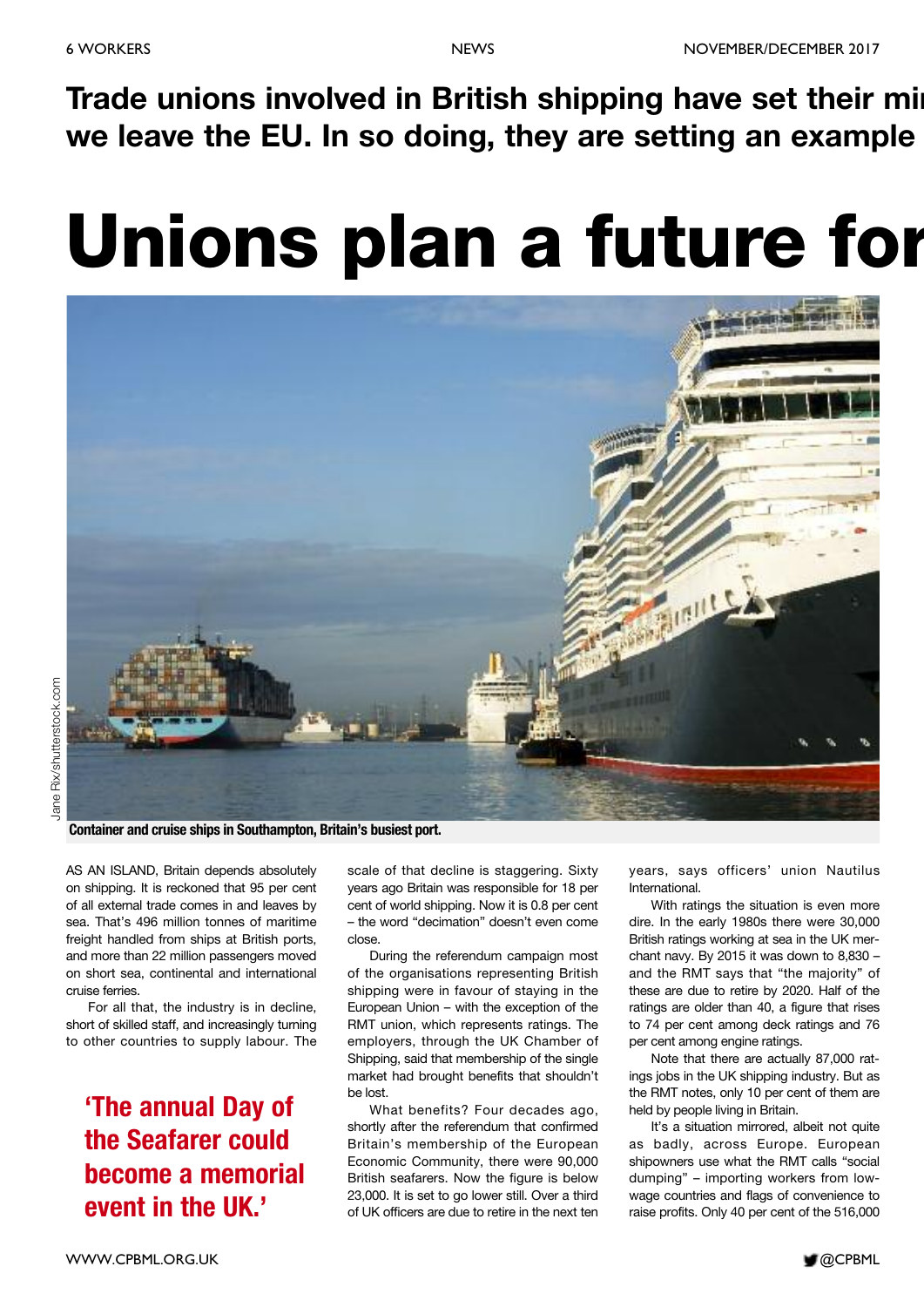**Trade unions involved in British shipping have set their min we leave the EU. In so doing, they are setting an example**

# **Unions plan a future for**



**Container and cruise ships in Southampton, Britain's busiest port.**

AS AN ISLAND, Britain depends absolutely on shipping. It is reckoned that 95 per cent of all external trade comes in and leaves by sea. That's 496 million tonnes of maritime freight handled from ships at British ports, and more than 22 million passengers moved on short sea, continental and international cruise ferries.

For all that, the industry is in decline, short of skilled staff, and increasingly turning to other countries to supply labour. The

### **'The annual Day of the Seafarer could become a memorial event in the UK.'**

scale of that decline is staggering. Sixty years ago Britain was responsible for 18 per cent of world shipping. Now it is 0.8 per cent – the word "decimation" doesn't even come close.

During the referendum campaign most of the organisations representing British shipping were in favour of staying in the European Union – with the exception of the RMT union, which represents ratings. The employers, through the UK Chamber of Shipping, said that membership of the single market had brought benefits that shouldn't be lost.

What benefits? Four decades ago, shortly after the referendum that confirmed Britain's membership of the European Economic Community, there were 90,000 British seafarers. Now the figure is below 23,000. It is set to go lower still. Over a third of UK officers are due to retire in the next ten

years, says officers' union Nautilus International.

With ratings the situation is even more dire. In the early 1980s there were 30,000 British ratings working at sea in the UK merchant navy. By 2015 it was down to 8,830 – and the RMT says that "the majority" of these are due to retire by 2020. Half of the ratings are older than 40, a figure that rises to 74 per cent among deck ratings and 76 per cent among engine ratings.

Note that there are actually 87,000 ratings jobs in the UK shipping industry. But as the RMT notes, only 10 per cent of them are held by people living in Britain.

It's a situation mirrored, albeit not quite as badly, across Europe. European shipowners use what the RMT calls "social dumping" – importing workers from lowwage countries and flags of convenience to raise profits. Only 40 per cent of the 516,000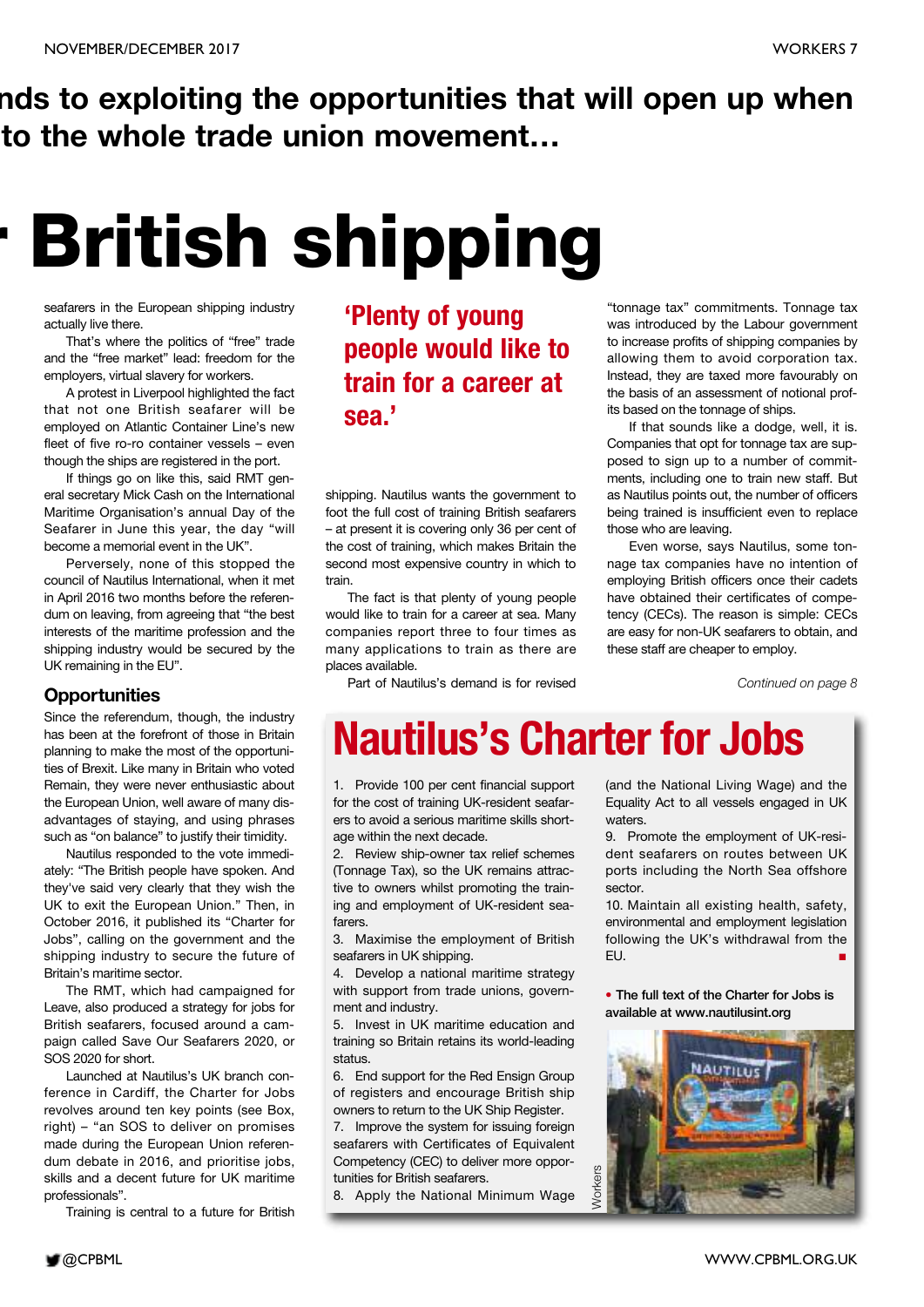# **nds to exploiting the opportunities that will open up when to the whole trade union movement…**

# **r British shipping**

seafarers in the European shipping industry actually live there.

That's where the politics of "free" trade and the "free market" lead: freedom for the employers, virtual slavery for workers.

A protest in Liverpool highlighted the fact that not one British seafarer will be employed on Atlantic Container Line's new fleet of five ro-ro container vessels – even though the ships are registered in the port.

If things go on like this, said RMT general secretary Mick Cash on the International Maritime Organisation's annual Day of the Seafarer in June this year, the day "will become a memorial event in the UK".

Perversely, none of this stopped the council of Nautilus International, when it met in April 2016 two months before the referendum on leaving, from agreeing that "the best interests of the maritime profession and the shipping industry would be secured by the UK remaining in the EU".

#### **Opportunities**

Since the referendum, though, the industry has been at the forefront of those in Britain planning to make the most of the opportunities of Brexit. Like many in Britain who voted Remain, they were never enthusiastic about the European Union, well aware of many disadvantages of staying, and using phrases such as "on balance" to justify their timidity.

Nautilus responded to the vote immediately: "The British people have spoken. And they've said very clearly that they wish the UK to exit the European Union." Then, in October 2016, it published its "Charter for Jobs", calling on the government and the shipping industry to secure the future of Britain's maritime sector.

The RMT, which had campaigned for Leave, also produced a strategy for jobs for British seafarers, focused around a campaign called Save Our Seafarers 2020, or SOS 2020 for short.

Launched at Nautilus's UK branch conference in Cardiff, the Charter for Jobs revolves around ten key points (see Box, right) – "an SOS to deliver on promises made during the European Union referendum debate in 2016, and prioritise jobs, skills and a decent future for UK maritime professionals".

Training is central to a future for British

### **'Plenty of young people would like to train for a career at sea.'**

shipping. Nautilus wants the government to foot the full cost of training British seafarers – at present it is covering only 36 per cent of the cost of training, which makes Britain the second most expensive country in which to train.

The fact is that plenty of young people would like to train for a career at sea. Many companies report three to four times as many applications to train as there are places available.

Part of Nautilus's demand is for revised

"tonnage tax" commitments. Tonnage tax was introduced by the Labour government to increase profits of shipping companies by allowing them to avoid corporation tax. Instead, they are taxed more favourably on the basis of an assessment of notional profits based on the tonnage of ships.

If that sounds like a dodge, well, it is. Companies that opt for tonnage tax are supposed to sign up to a number of commitments, including one to train new staff. But as Nautilus points out, the number of officers being trained is insufficient even to replace those who are leaving.

Even worse, says Nautilus, some tonnage tax companies have no intention of employing British officers once their cadets have obtained their certificates of competency (CECs). The reason is simple: CECs are easy for non-UK seafarers to obtain, and these staff are cheaper to employ.

*Continued on page 8*

# **Nautilus's Charter for Jobs**

1. Provide 100 per cent financial support for the cost of training UK-resident seafarers to avoid a serious maritime skills shortage within the next decade.

2. Review ship-owner tax relief schemes (Tonnage Tax), so the UK remains attractive to owners whilst promoting the training and employment of UK-resident seafarers.

3. Maximise the employment of British seafarers in UK shipping.

4. Develop a national maritime strategy with support from trade unions, government and industry.

5. Invest in UK maritime education and training so Britain retains its world-leading status.

6. End support for the Red Ensign Group of registers and encourage British ship owners to return to the UK Ship Register.

7. Improve the system for issuing foreign seafarers with Certificates of Equivalent Competency (CEC) to deliver more opportunities for British seafarers.

8. Apply the National Minimum Wage

(and the National Living Wage) and the Equality Act to all vessels engaged in UK waters.

9. Promote the employment of UK-resident seafarers on routes between UK ports including the North Sea offshore sector.

10. Maintain all existing health, safety, environmental and employment legislation following the UK's withdrawal from the EU. **■**

**• The full text of the Charter for Jobs is available at www.nautilusint.org**

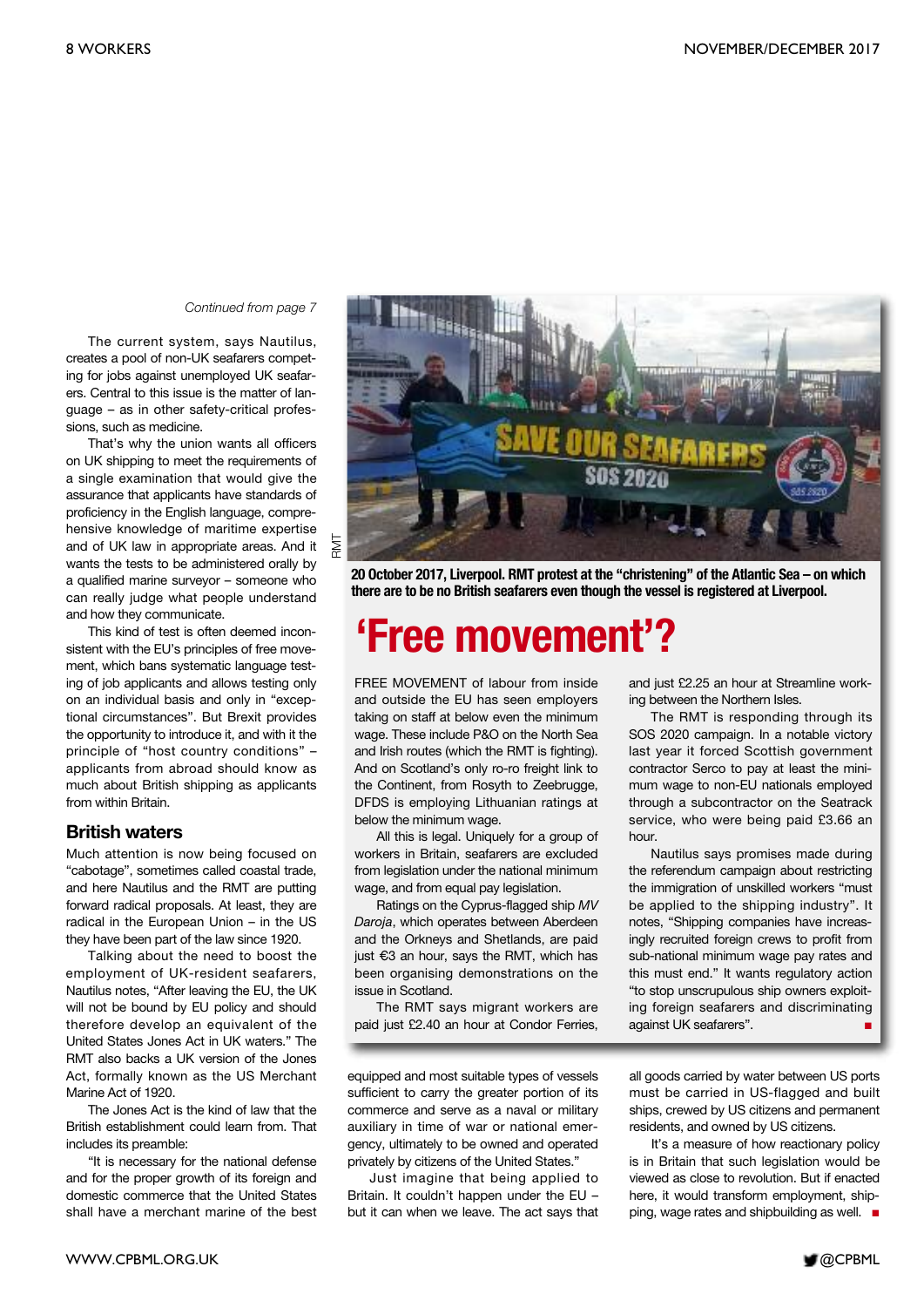#### *Continued from page 7*

The current system, says Nautilus, creates a pool of non-UK seafarers competing for jobs against unemployed UK seafarers. Central to this issue is the matter of language – as in other safety-critical professions, such as medicine.

That's why the union wants all officers on UK shipping to meet the requirements of a single examination that would give the assurance that applicants have standards of proficiency in the English language, comprehensive knowledge of maritime expertise and of UK law in appropriate areas. And it wants the tests to be administered orally by a qualified marine surveyor – someone who can really judge what people understand and how they communicate.

This kind of test is often deemed inconsistent with the EU's principles of free movement, which bans systematic language testing of job applicants and allows testing only on an individual basis and only in "exceptional circumstances". But Brexit provides the opportunity to introduce it, and with it the principle of "host country conditions" – applicants from abroad should know as much about British shipping as applicants from within Britain.

#### **British waters**

Much attention is now being focused on "cabotage", sometimes called coastal trade, and here Nautilus and the RMT are putting forward radical proposals. At least, they are radical in the European Union – in the US they have been part of the law since 1920.

Talking about the need to boost the employment of UK-resident seafarers, Nautilus notes, "After leaving the EU, the UK will not be bound by EU policy and should therefore develop an equivalent of the United States Jones Act in UK waters." The RMT also backs a UK version of the Jones Act, formally known as the US Merchant Marine Act of 1920.

The Jones Act is the kind of law that the British establishment could learn from. That includes its preamble:

"It is necessary for the national defense and for the proper growth of its foreign and domestic commerce that the United States shall have a merchant marine of the best



**20 October 2017, Liverpool. RMT protest at the "christening" of the Atlantic Sea – on which there are to be no British seafarers even though the vessel is registered at Liverpool.**

# **'Free movement'?**

FREE MOVEMENT of labour from inside and outside the EU has seen employers taking on staff at below even the minimum wage. These include P&O on the North Sea and Irish routes (which the RMT is fighting). And on Scotland's only ro-ro freight link to the Continent, from Rosyth to Zeebrugge, DFDS is employing Lithuanian ratings at below the minimum wage.

All this is legal. Uniquely for a group of workers in Britain, seafarers are excluded from legislation under the national minimum wage, and from equal pay legislation.

Ratings on the Cyprus-flagged ship *MV Daroja*, which operates between Aberdeen and the Orkneys and Shetlands, are paid just €3 an hour, says the RMT, which has been organising demonstrations on the issue in Scotland.

The RMT says migrant workers are paid just £2.40 an hour at Condor Ferries,

equipped and most suitable types of vessels sufficient to carry the greater portion of its commerce and serve as a naval or military auxiliary in time of war or national emergency, ultimately to be owned and operated privately by citizens of the United States."

Just imagine that being applied to Britain. It couldn't happen under the EU – but it can when we leave. The act says that and just £2.25 an hour at Streamline working between the Northern Isles.

The RMT is responding through its SOS 2020 campaign. In a notable victory last year it forced Scottish government contractor Serco to pay at least the minimum wage to non-EU nationals employed through a subcontractor on the Seatrack service, who were being paid £3.66 an hour.

Nautilus says promises made during the referendum campaign about restricting the immigration of unskilled workers "must be applied to the shipping industry". It notes, "Shipping companies have increasingly recruited foreign crews to profit from sub-national minimum wage pay rates and this must end." It wants regulatory action "to stop unscrupulous ship owners exploiting foreign seafarers and discriminating against UK seafarers". **■**

all goods carried by water between US ports must be carried in US-flagged and built ships, crewed by US citizens and permanent residents, and owned by US citizens.

It's a measure of how reactionary policy is in Britain that such legislation would be viewed as close to revolution. But if enacted here, it would transform employment, shipping, wage rates and shipbuilding as well. **■**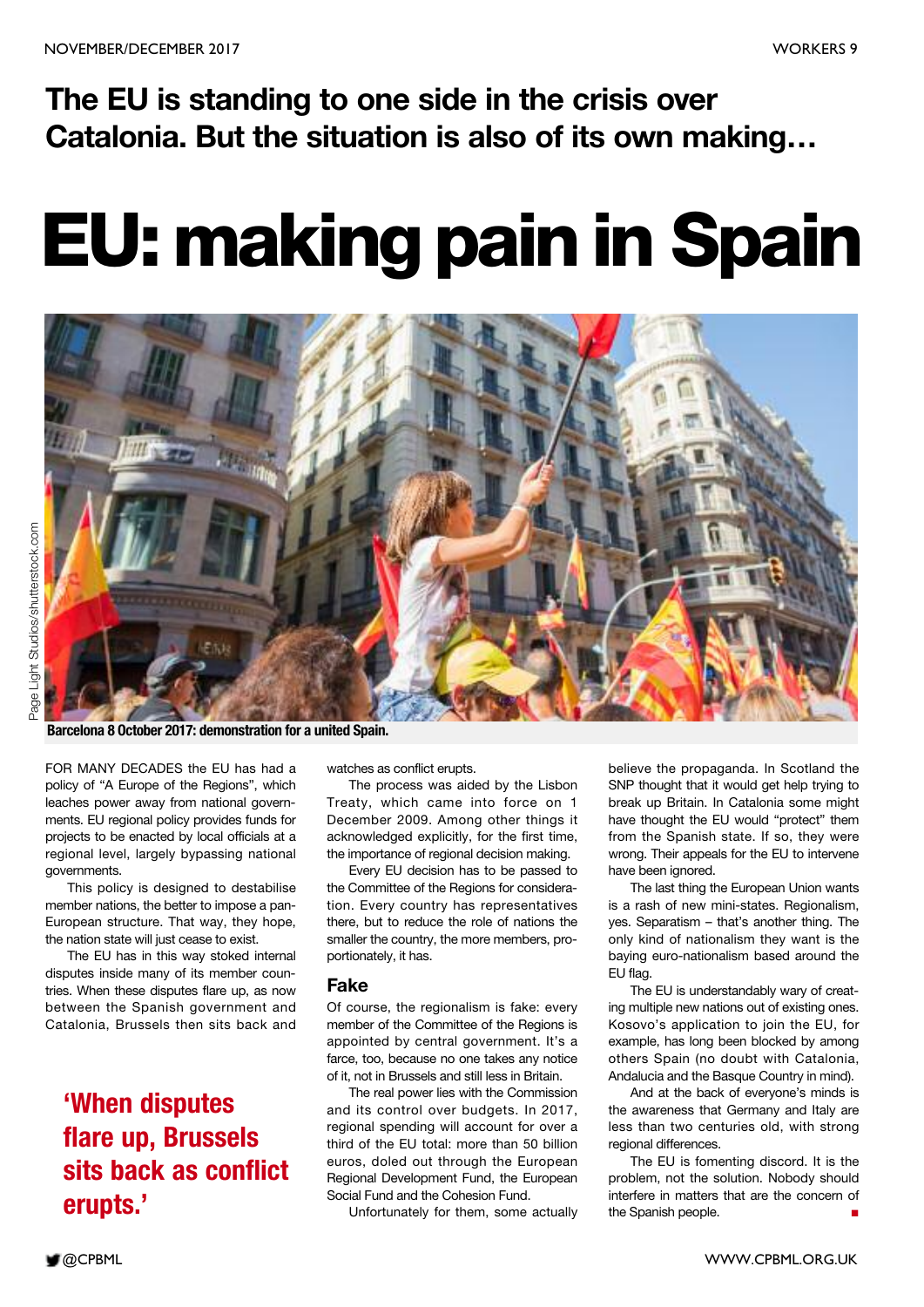# **The EU is standing to one side in the crisis over Catalonia. But the situation is also of its own making…**

# **EU: making pain in Spain**



**Barcelona 8 October 2017: demonstration for a united Spain.**

FOR MANY DECADES the EU has had a policy of "A Europe of the Regions", which leaches power away from national governments. EU regional policy provides funds for projects to be enacted by local officials at a regional level, largely bypassing national governments.

This policy is designed to destabilise member nations, the better to impose a pan-European structure. That way, they hope, the nation state will just cease to exist.

The EU has in this way stoked internal disputes inside many of its member countries. When these disputes flare up, as now between the Spanish government and Catalonia, Brussels then sits back and

### **'When disputes flare up, Brussels sits back as conflict erupts.'**

watches as conflict erupts.

The process was aided by the Lisbon Treaty, which came into force on 1 December 2009. Among other things it acknowledged explicitly, for the first time, the importance of regional decision making.

Every EU decision has to be passed to the Committee of the Regions for consideration. Every country has representatives there, but to reduce the role of nations the smaller the country, the more members, proportionately, it has.

#### **Fake**

Of course, the regionalism is fake: every member of the Committee of the Regions is appointed by central government. It's a farce, too, because no one takes any notice of it, not in Brussels and still less in Britain.

The real power lies with the Commission and its control over budgets. In 2017, regional spending will account for over a third of the EU total: more than 50 billion euros, doled out through the European Regional Development Fund, the European Social Fund and the Cohesion Fund.

Unfortunately for them, some actually

believe the propaganda. In Scotland the SNP thought that it would get help trying to break up Britain. In Catalonia some might have thought the EU would "protect" them from the Spanish state. If so, they were wrong. Their appeals for the EU to intervene have been ignored.

The last thing the European Union wants is a rash of new mini-states. Regionalism, yes. Separatism – that's another thing. The only kind of nationalism they want is the baying euro-nationalism based around the EU flag.

The EU is understandably wary of creating multiple new nations out of existing ones. Kosovo's application to join the EU, for example, has long been blocked by among others Spain (no doubt with Catalonia, Andalucia and the Basque Country in mind).

And at the back of everyone's minds is the awareness that Germany and Italy are less than two centuries old, with strong regional differences.

The EU is fomenting discord. It is the problem, not the solution. Nobody should interfere in matters that are the concern of the Spanish people.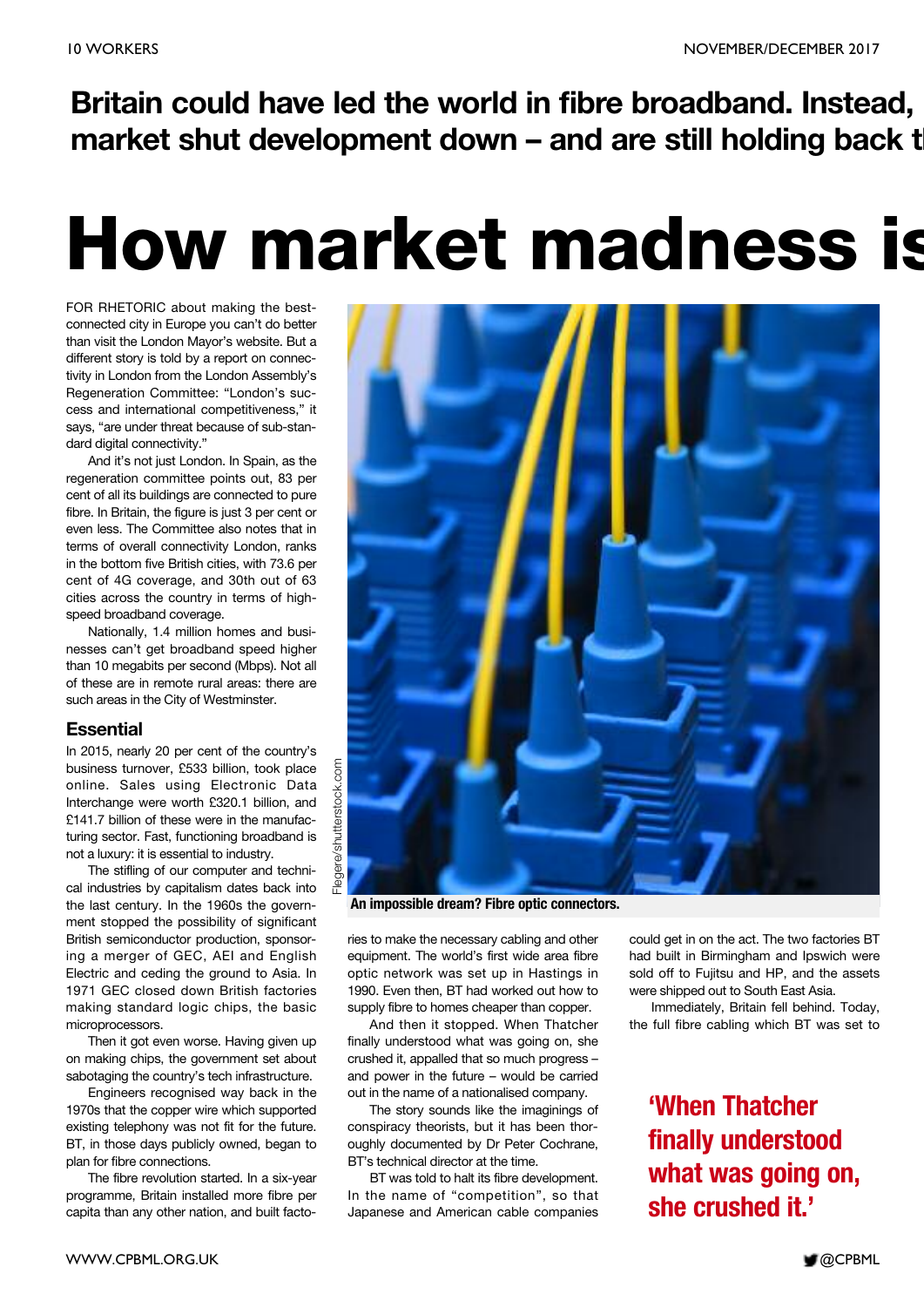**Britain could have led the world in fibre broadband. Instead, market shut development down – and are still holding back th**

# **How market madness is**

FOR RHETORIC about making the bestconnected city in Europe you can't do better than visit the London Mayor's website. But a different story is told by a report on connectivity in London from the London Assembly's Regeneration Committee: "London's success and international competitiveness," it says, "are under threat because of sub-standard digital connectivity."

And it's not just London. In Spain, as the regeneration committee points out, 83 per cent of all its buildings are connected to pure fibre. In Britain, the figure is just 3 per cent or even less. The Committee also notes that in terms of overall connectivity London, ranks in the bottom five British cities, with 73.6 per cent of 4G coverage, and 30th out of 63 cities across the country in terms of highspeed broadband coverage.

Nationally, 1.4 million homes and businesses can't get broadband speed higher than 10 megabits per second (Mbps). Not all of these are in remote rural areas: there are such areas in the City of Westminster.

#### **Essential**

In 2015, nearly 20 per cent of the country's business turnover, £533 billion, took place online. Sales using Electronic Data Interchange were worth £320.1 billion, and £141.7 billion of these were in the manufacturing sector. Fast, functioning broadband is not a luxury: it is essential to industry.

The stifling of our computer and technical industries by capitalism dates back into the last century. In the 1960s the government stopped the possibility of significant British semiconductor production, sponsoring a merger of GEC, AEI and English Electric and ceding the ground to Asia. In 1971 GEC closed down British factories making standard logic chips, the basic microprocessors.

Then it got even worse. Having given up on making chips, the government set about sabotaging the country's tech infrastructure.

Engineers recognised way back in the 1970s that the copper wire which supported existing telephony was not fit for the future. BT, in those days publicly owned, began to plan for fibre connections.

The fibre revolution started. In a six-year programme, Britain installed more fibre per capita than any other nation, and built facto-



**An impossible dream? Fibre optic connectors.**

ries to make the necessary cabling and other equipment. The world's first wide area fibre optic network was set up in Hastings in 1990. Even then, BT had worked out how to supply fibre to homes cheaper than copper.

And then it stopped. When Thatcher finally understood what was going on, she crushed it, appalled that so much progress – and power in the future – would be carried out in the name of a nationalised company.

The story sounds like the imaginings of conspiracy theorists, but it has been thoroughly documented by Dr Peter Cochrane, BT's technical director at the time.

BT was told to halt its fibre development. In the name of "competition", so that Japanese and American cable companies could get in on the act. The two factories BT had built in Birmingham and Ipswich were sold off to Fujitsu and HP, and the assets were shipped out to South East Asia.

Immediately, Britain fell behind. Today, the full fibre cabling which BT was set to

**'When Thatcher finally understood what was going on, she crushed it.'**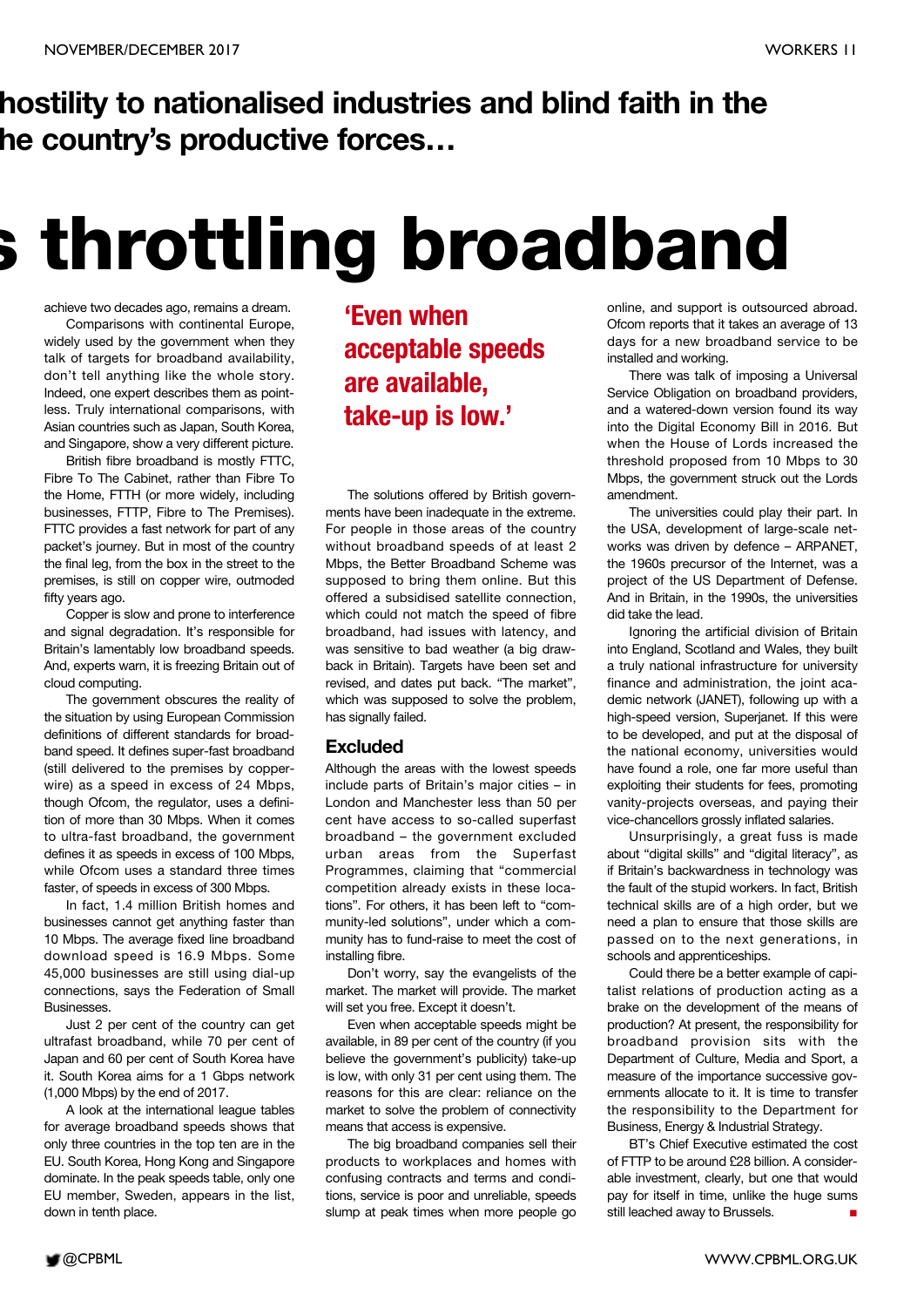# **hostility to nationalised industries and blind faith in the he country's productive forces…**

# **s throttling broadband**

achieve two decades ago, remains a dream.

Comparisons with continental Europe, widely used by the government when they talk of targets for broadband availability, don't tell anything like the whole story. Indeed, one expert describes them as pointless. Truly international comparisons, with Asian countries such as Japan, South Korea, and Singapore, show a very different picture.

British fibre broadband is mostly FTTC, Fibre To The Cabinet, rather than Fibre To the Home, FTTH (or more widely, including businesses, FTTP, Fibre to The Premises). FTTC provides a fast network for part of any packet's journey. But in most of the country the final leg, from the box in the street to the premises, is still on copper wire, outmoded fifty years ago.

Copper is slow and prone to interference and signal degradation. It's responsible for Britain's lamentably low broadband speeds. And, experts warn, it is freezing Britain out of cloud computing.

The government obscures the reality of the situation by using European Commission definitions of different standards for broadband speed. It defines super-fast broadband (still delivered to the premises by copperwire) as a speed in excess of 24 Mbps, though Ofcom, the regulator, uses a definition of more than 30 Mbps. When it comes to ultra-fast broadband, the government defines it as speeds in excess of 100 Mbps, while Ofcom uses a standard three times faster, of speeds in excess of 300 Mbps.

In fact, 1.4 million British homes and businesses cannot get anything faster than 10 Mbps. The average fixed line broadband download speed is 16.9 Mbps. Some 45,000 businesses are still using dial-up connections, says the Federation of Small Businesses.

Just 2 per cent of the country can get ultrafast broadband, while 70 per cent of Japan and 60 per cent of South Korea have it. South Korea aims for a 1 Gbps network (1,000 Mbps) by the end of 2017.

A look at the international league tables for average broadband speeds shows that only three countries in the top ten are in the EU. South Korea, Hong Kong and Singapore dominate. In the peak speeds table, only one EU member, Sweden, appears in the list, down in tenth place.

**'Even when acceptable speeds are available, take-up is low.'**

The solutions offered by British governments have been inadequate in the extreme. For people in those areas of the country without broadband speeds of at least 2 Mbps, the Better Broadband Scheme was supposed to bring them online. But this offered a subsidised satellite connection, which could not match the speed of fibre broadband, had issues with latency, and was sensitive to bad weather (a big drawback in Britain). Targets have been set and revised, and dates put back. "The market", which was supposed to solve the problem, has signally failed.

#### **Excluded**

Although the areas with the lowest speeds include parts of Britain's major cities – in London and Manchester less than 50 per cent have access to so-called superfast broadband – the government excluded urban areas from the Superfast Programmes, claiming that "commercial competition already exists in these locations". For others, it has been left to "community-led solutions", under which a community has to fund-raise to meet the cost of installing fibre.

Don't worry, say the evangelists of the market. The market will provide. The market will set you free. Except it doesn't.

Even when acceptable speeds might be available, in 89 per cent of the country (if you believe the government's publicity) take-up is low, with only 31 per cent using them. The reasons for this are clear: reliance on the market to solve the problem of connectivity means that access is expensive.

The big broadband companies sell their products to workplaces and homes with confusing contracts and terms and conditions, service is poor and unreliable, speeds slump at peak times when more people go

online, and support is outsourced abroad. Ofcom reports that it takes an average of 13 days for a new broadband service to be installed and working.

There was talk of imposing a Universal Service Obligation on broadband providers, and a watered-down version found its way into the Digital Economy Bill in 2016. But when the House of Lords increased the threshold proposed from 10 Mbps to 30 Mbps, the government struck out the Lords amendment.

The universities could play their part. In the USA, development of large-scale networks was driven by defence – ARPANET, the 1960s precursor of the Internet, was a project of the US Department of Defense. And in Britain, in the 1990s, the universities did take the lead.

Ignoring the artificial division of Britain into England, Scotland and Wales, they built a truly national infrastructure for university finance and administration, the joint academic network (JANET), following up with a high-speed version, Superjanet. If this were to be developed, and put at the disposal of the national economy, universities would have found a role, one far more useful than exploiting their students for fees, promoting vanity-projects overseas, and paying their vice-chancellors grossly inflated salaries.

Unsurprisingly, a great fuss is made about "digital skills" and "digital literacy", as if Britain's backwardness in technology was the fault of the stupid workers. In fact, British technical skills are of a high order, but we need a plan to ensure that those skills are passed on to the next generations, in schools and apprenticeships.

Could there be a better example of capitalist relations of production acting as a brake on the development of the means of production? At present, the responsibility for broadband provision sits with the Department of Culture, Media and Sport, a measure of the importance successive governments allocate to it. It is time to transfer the responsibility to the Department for Business, Energy & Industrial Strategy.

BT's Chief Executive estimated the cost of FTTP to be around £28 billion. A considerable investment, clearly, but one that would pay for itself in time, unlike the huge sums still leached away to Brussels. **■**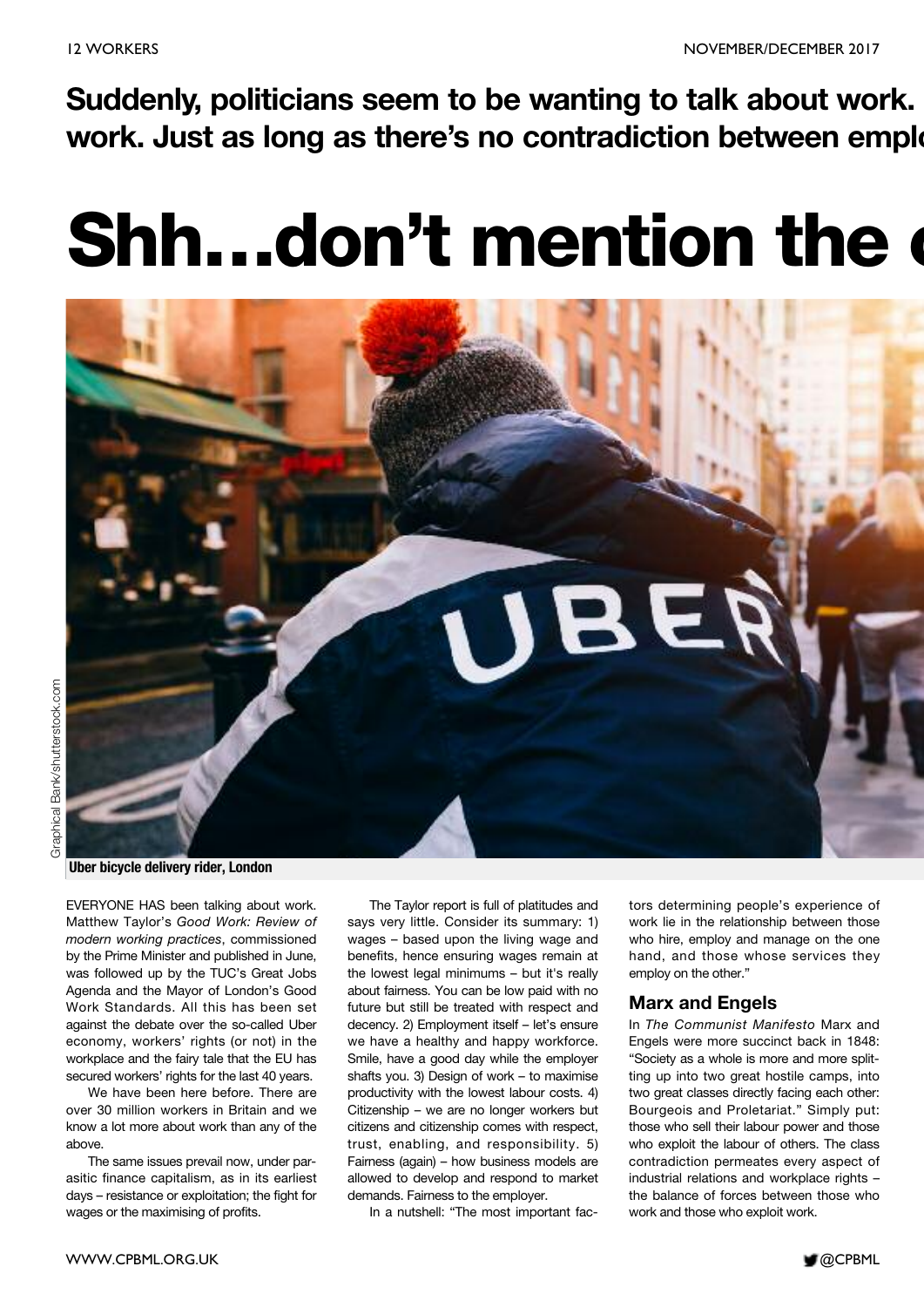**Suddenly, politicians seem to be wanting to talk about work. work. Just as long as there's no contradiction between emplo**

# **Shh…don't mention the c**



EVERYONE HAS been talking about work. Matthew Taylor's *Good Work: Review of modern working practices*, commissioned by the Prime Minister and published in June, was followed up by the TUC's Great Jobs Agenda and the Mayor of London's Good Work Standards. All this has been set against the debate over the so-called Uber economy, workers' rights (or not) in the workplace and the fairy tale that the EU has secured workers' rights for the last 40 years.

We have been here before. There are over 30 million workers in Britain and we know a lot more about work than any of the above.

The same issues prevail now, under parasitic finance capitalism, as in its earliest days – resistance or exploitation; the fight for wages or the maximising of profits.

The Taylor report is full of platitudes and says very little. Consider its summary: 1) wages – based upon the living wage and benefits, hence ensuring wages remain at the lowest legal minimums - but it's really about fairness. You can be low paid with no future but still be treated with respect and decency. 2) Employment itself – let's ensure we have a healthy and happy workforce. Smile, have a good day while the employer shafts you. 3) Design of work – to maximise productivity with the lowest labour costs. 4) Citizenship – we are no longer workers but citizens and citizenship comes with respect, trust, enabling, and responsibility. 5) Fairness (again) – how business models are allowed to develop and respond to market demands. Fairness to the employer.

In a nutshell: "The most important fac-

tors determining people's experience of work lie in the relationship between those who hire, employ and manage on the one hand, and those whose services they employ on the other."

#### **Marx and Engels**

In *The Communist Manifesto* Marx and Engels were more succinct back in 1848: "Society as a whole is more and more splitting up into two great hostile camps, into two great classes directly facing each other: Bourgeois and Proletariat." Simply put: those who sell their labour power and those who exploit the labour of others. The class contradiction permeates every aspect of industrial relations and workplace rights – the balance of forces between those who work and those who exploit work.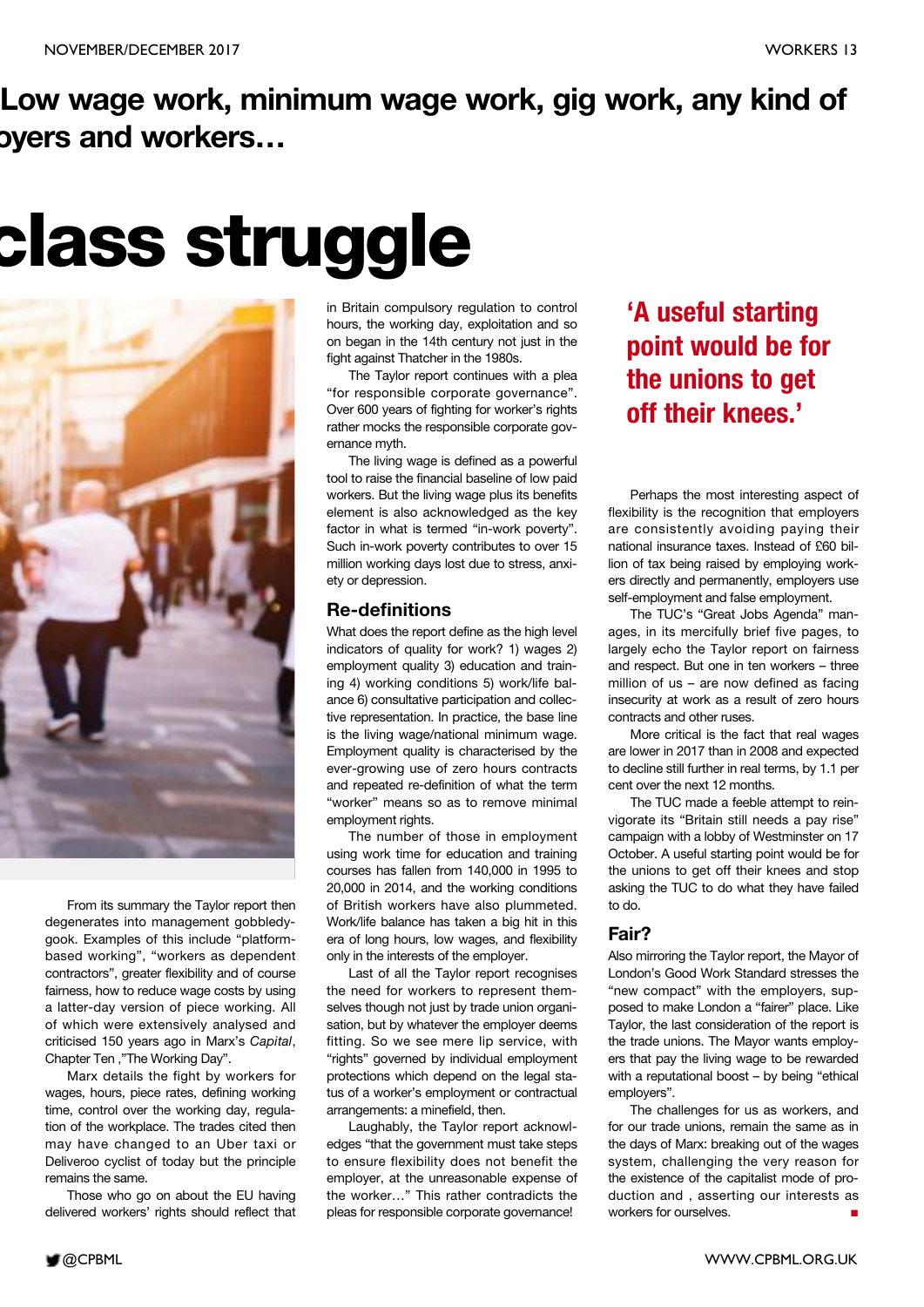# **Low wage work, minimum wage work, gig work, any kind of oyers and workers…**

# **class struggle**



From its summary the Taylor report then degenerates into management gobbledygook. Examples of this include "platformbased working", "workers as dependent contractors", greater flexibility and of course fairness, how to reduce wage costs by using a latter-day version of piece working. All of which were extensively analysed and criticised 150 years ago in Marx's *Capital*, Chapter Ten ,"The Working Day".

Marx details the fight by workers for wages, hours, piece rates, defining working time, control over the working day, regulation of the workplace. The trades cited then may have changed to an Uber taxi or Deliveroo cyclist of today but the principle remains the same.

Those who go on about the EU having delivered workers' rights should reflect that in Britain compulsory regulation to control hours, the working day, exploitation and so on began in the 14th century not just in the fight against Thatcher in the 1980s.

The Taylor report continues with a plea "for responsible corporate governance". Over 600 years of fighting for worker's rights rather mocks the responsible corporate governance myth.

The living wage is defined as a powerful tool to raise the financial baseline of low paid workers. But the living wage plus its benefits element is also acknowledged as the key factor in what is termed "in-work poverty". Such in-work poverty contributes to over 15 million working days lost due to stress, anxiety or depression.

#### **Re-definitions**

What does the report define as the high level indicators of quality for work? 1) wages 2) employment quality 3) education and training 4) working conditions 5) work/life balance 6) consultative participation and collective representation. In practice, the base line is the living wage/national minimum wage. Employment quality is characterised by the ever-growing use of zero hours contracts and repeated re-definition of what the term "worker" means so as to remove minimal employment rights.

The number of those in employment using work time for education and training courses has fallen from 140,000 in 1995 to 20,000 in 2014, and the working conditions of British workers have also plummeted. Work/life balance has taken a big hit in this era of long hours, low wages, and flexibility only in the interests of the employer.

Last of all the Taylor report recognises the need for workers to represent themselves though not just by trade union organisation, but by whatever the employer deems fitting. So we see mere lip service, with "rights" governed by individual employment protections which depend on the legal status of a worker's employment or contractual arrangements: a minefield, then.

Laughably, the Taylor report acknowledges "that the government must take steps to ensure flexibility does not benefit the employer, at the unreasonable expense of the worker…" This rather contradicts the pleas for responsible corporate governance!

### **'A useful starting point would be for the unions to get off their knees.'**

Perhaps the most interesting aspect of flexibility is the recognition that employers are consistently avoiding paying their national insurance taxes. Instead of £60 billion of tax being raised by employing workers directly and permanently, employers use self-employment and false employment.

The TUC's "Great Jobs Agenda" manages, in its mercifully brief five pages, to largely echo the Taylor report on fairness and respect. But one in ten workers – three million of us – are now defined as facing insecurity at work as a result of zero hours contracts and other ruses.

More critical is the fact that real wages are lower in 2017 than in 2008 and expected to decline still further in real terms, by 1.1 per cent over the next 12 months.

The TUC made a feeble attempt to reinvigorate its "Britain still needs a pay rise" campaign with a lobby of Westminster on 17 October. A useful starting point would be for the unions to get off their knees and stop asking the TUC to do what they have failed to do.

#### **Fair?**

Also mirroring the Taylor report, the Mayor of London's Good Work Standard stresses the "new compact" with the employers, supposed to make London a "fairer" place. Like Taylor, the last consideration of the report is the trade unions. The Mayor wants employers that pay the living wage to be rewarded with a reputational boost – by being "ethical employers".

The challenges for us as workers, and for our trade unions, remain the same as in the days of Marx: breaking out of the wages system, challenging the very reason for the existence of the capitalist mode of production and , asserting our interests as workers for ourselves. **■**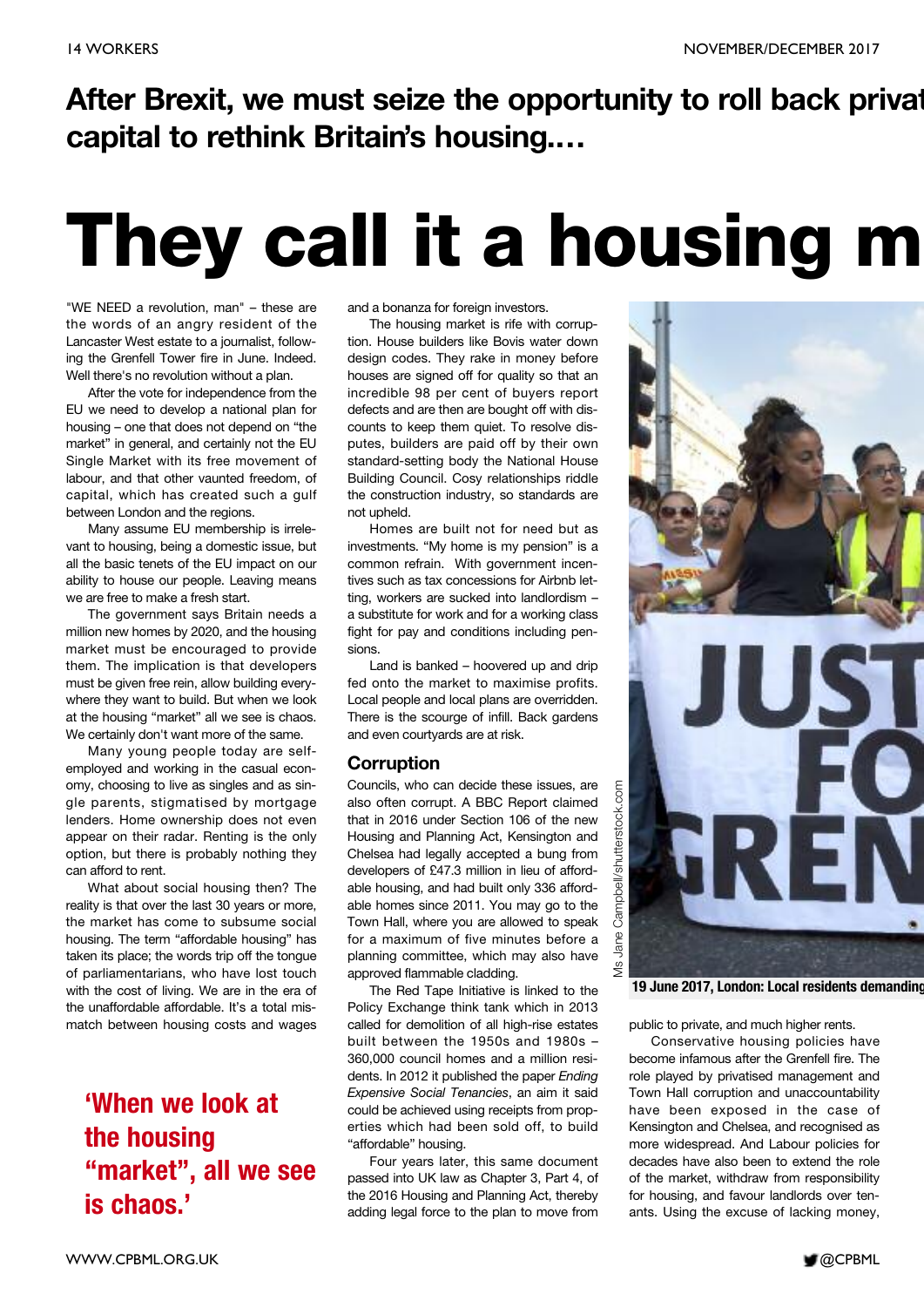# **After Brexit, we must seize the opportunity to roll back privat capital to rethink Britain's housing.…**

# **They call it a housing m**

"WE NEED a revolution, man" – these are the words of an angry resident of the Lancaster West estate to a journalist, following the Grenfell Tower fire in June. Indeed. Well there's no revolution without a plan.

After the vote for independence from the EU we need to develop a national plan for housing – one that does not depend on "the market" in general, and certainly not the EU Single Market with its free movement of labour, and that other vaunted freedom, of capital, which has created such a gulf between London and the regions.

Many assume EU membership is irrelevant to housing, being a domestic issue, but all the basic tenets of the EU impact on our ability to house our people. Leaving means we are free to make a fresh start.

The government says Britain needs a million new homes by 2020, and the housing market must be encouraged to provide them. The implication is that developers must be given free rein, allow building everywhere they want to build. But when we look at the housing "market" all we see is chaos. We certainly don't want more of the same.

Many young people today are selfemployed and working in the casual economy, choosing to live as singles and as single parents, stigmatised by mortgage lenders. Home ownership does not even appear on their radar. Renting is the only option, but there is probably nothing they can afford to rent.

What about social housing then? The reality is that over the last 30 years or more, the market has come to subsume social housing. The term "affordable housing" has taken its place; the words trip off the tongue of parliamentarians, who have lost touch with the cost of living. We are in the era of the unaffordable affordable. It's a total mismatch between housing costs and wages

**'When we look at the housing "market" , all we see is chaos.'**

and a bonanza for foreign investors.

The housing market is rife with corruption. House builders like Bovis water down design codes. They rake in money before houses are signed off for quality so that an incredible 98 per cent of buyers report defects and are then are bought off with discounts to keep them quiet. To resolve disputes, builders are paid off by their own standard-setting body the National House Building Council. Cosy relationships riddle the construction industry, so standards are not upheld.

Homes are built not for need but as investments. "My home is my pension" is a common refrain. With government incentives such as tax concessions for Airbnb letting, workers are sucked into landlordism – a substitute for work and for a working class fight for pay and conditions including pensions.

Land is banked – hoovered up and drip fed onto the market to maximise profits. Local people and local plans are overridden. There is the scourge of infill. Back gardens and even courtyards are at risk.

#### **Corruption**

Councils, who can decide these issues, are also often corrupt. A BBC Report claimed that in 2016 under Section 106 of the new Housing and Planning Act, Kensington and Chelsea had legally accepted a bung from developers of £47.3 million in lieu of affordable housing, and had built only 336 affordable homes since 2011. You may go to the Town Hall, where you are allowed to speak for a maximum of five minutes before a planning committee, which may also have approved flammable cladding.

The Red Tape Initiative is linked to the Policy Exchange think tank which in 2013 called for demolition of all high-rise estates built between the 1950s and 1980s – 360,000 council homes and a million residents. In 2012 it published the paper *Ending Expensive Social Tenancies*, an aim it said could be achieved using receipts from properties which had been sold off, to build "affordable" housing.

Four years later, this same document passed into UK law as Chapter 3, Part 4, of the 2016 Housing and Planning Act, thereby adding legal force to the plan to move from



**19 June 2017, London: Local residents demanding**

public to private, and much higher rents.

Conservative housing policies have become infamous after the Grenfell fire. The role played by privatised management and Town Hall corruption and unaccountability have been exposed in the case of Kensington and Chelsea, and recognised as more widespread. And Labour policies for decades have also been to extend the role of the market, withdraw from responsibility for housing, and favour landlords over tenants. Using the excuse of lacking money,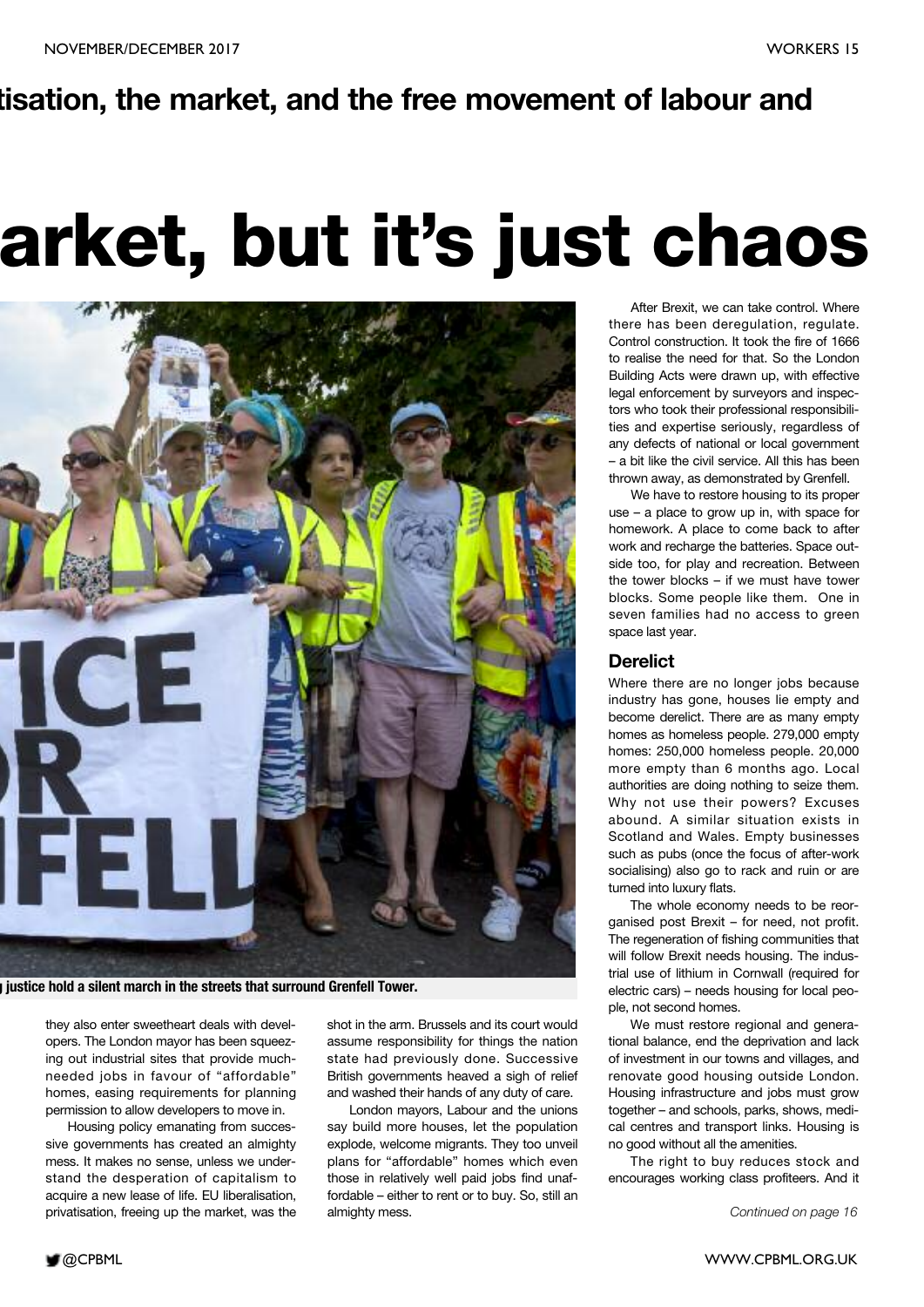### **tisation, the market, and the free movement of labour and**

# **arket, but it's just chaos**



**g justice hold a silent march in the streets that surround Grenfell Tower.**

they also enter sweetheart deals with developers. The London mayor has been squeezing out industrial sites that provide muchneeded jobs in favour of "affordable" homes, easing requirements for planning permission to allow developers to move in.

Housing policy emanating from successive governments has created an almighty mess. It makes no sense, unless we understand the desperation of capitalism to acquire a new lease of life. EU liberalisation, privatisation, freeing up the market, was the

shot in the arm. Brussels and its court would assume responsibility for things the nation state had previously done. Successive British governments heaved a sigh of relief and washed their hands of any duty of care.

London mayors, Labour and the unions say build more houses, let the population explode, welcome migrants. They too unveil plans for "affordable" homes which even those in relatively well paid jobs find unaffordable – either to rent or to buy. So, still an almighty mess.

After Brexit, we can take control. Where there has been deregulation, regulate. Control construction. It took the fire of 1666 to realise the need for that. So the London Building Acts were drawn up, with effective legal enforcement by surveyors and inspectors who took their professional responsibilities and expertise seriously, regardless of any defects of national or local government – a bit like the civil service. All this has been thrown away, as demonstrated by Grenfell.

We have to restore housing to its proper use – a place to grow up in, with space for homework. A place to come back to after work and recharge the batteries. Space outside too, for play and recreation. Between the tower blocks – if we must have tower blocks. Some people like them. One in seven families had no access to green space last year.

#### **Derelict**

Where there are no longer jobs because industry has gone, houses lie empty and become derelict. There are as many empty homes as homeless people. 279,000 empty homes: 250,000 homeless people. 20,000 more empty than 6 months ago. Local authorities are doing nothing to seize them. Why not use their powers? Excuses abound. A similar situation exists in Scotland and Wales. Empty businesses such as pubs (once the focus of after-work socialising) also go to rack and ruin or are turned into luxury flats.

The whole economy needs to be reorganised post Brexit – for need, not profit. The regeneration of fishing communities that will follow Brexit needs housing. The industrial use of lithium in Cornwall (required for electric cars) – needs housing for local people, not second homes.

We must restore regional and generational balance, end the deprivation and lack of investment in our towns and villages, and renovate good housing outside London. Housing infrastructure and jobs must grow together – and schools, parks, shows, medical centres and transport links. Housing is no good without all the amenities.

The right to buy reduces stock and encourages working class profiteers. And it

*Continued on page 16*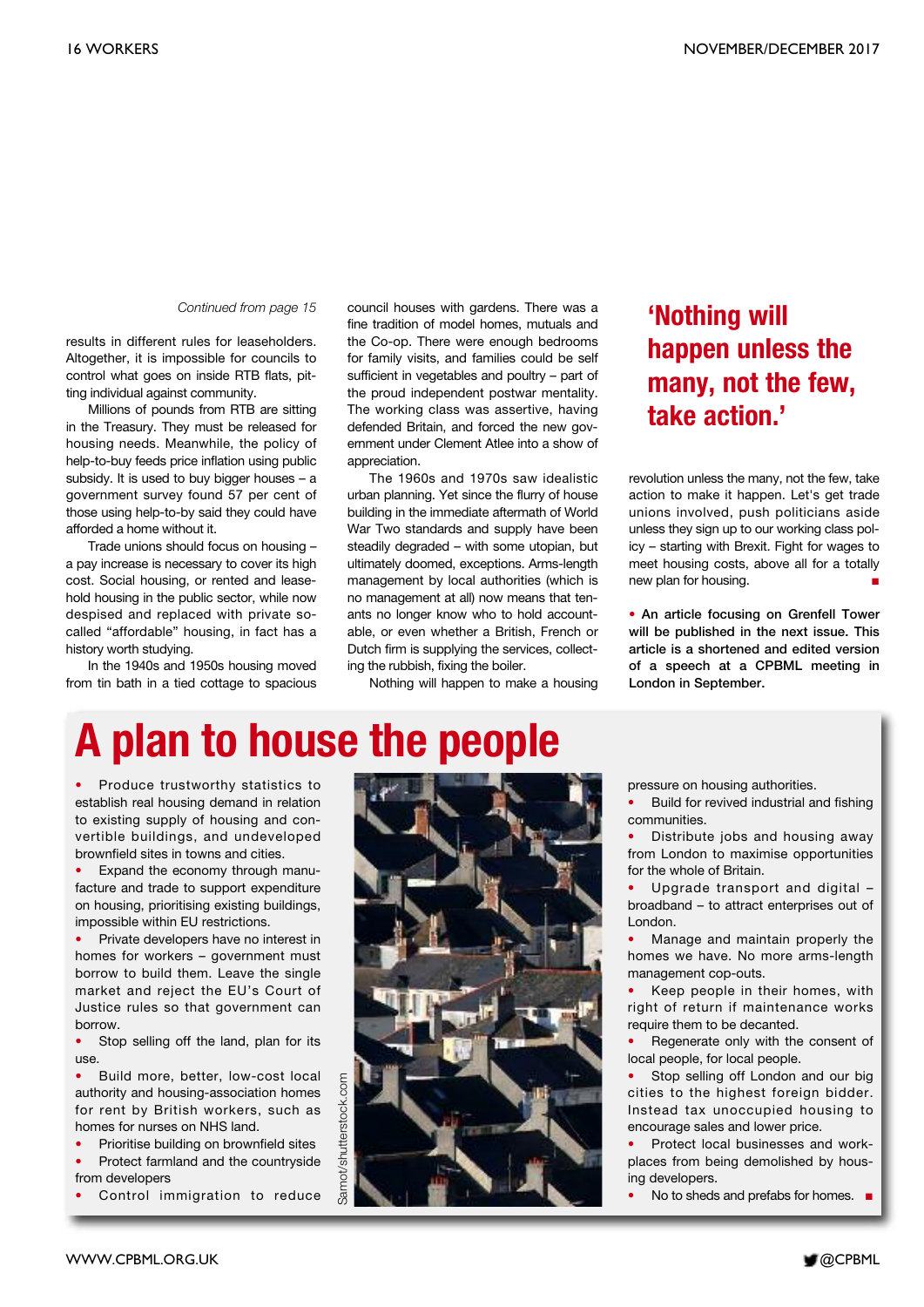#### *Continued from page 15*

results in different rules for leaseholders. Altogether, it is impossible for councils to control what goes on inside RTB flats, pitting individual against community.

Millions of pounds from RTB are sitting in the Treasury. They must be released for housing needs. Meanwhile, the policy of help-to-buy feeds price inflation using public subsidy. It is used to buy bigger houses – a government survey found 57 per cent of those using help-to-by said they could have afforded a home without it.

Trade unions should focus on housing – a pay increase is necessary to cover its high cost. Social housing, or rented and leasehold housing in the public sector, while now despised and replaced with private socalled "affordable" housing, in fact has a history worth studying.

In the 1940s and 1950s housing moved from tin bath in a tied cottage to spacious

council houses with gardens. There was a fine tradition of model homes, mutuals and the Co-op. There were enough bedrooms for family visits, and families could be self sufficient in vegetables and poultry – part of the proud independent postwar mentality. The working class was assertive, having defended Britain, and forced the new government under Clement Atlee into a show of appreciation.

The 1960s and 1970s saw idealistic urban planning. Yet since the flurry of house building in the immediate aftermath of World War Two standards and supply have been steadily degraded – with some utopian, but ultimately doomed, exceptions. Arms-length management by local authorities (which is no management at all) now means that tenants no longer know who to hold accountable, or even whether a British, French or Dutch firm is supplying the services, collecting the rubbish, fixing the boiler.

Nothing will happen to make a housing

### **'Nothing will happen unless the many, not the few, take action.'**

revolution unless the many, not the few, take action to make it happen. Let's get trade unions involved, push politicians aside unless they sign up to our working class policy – starting with Brexit. Fight for wages to meet housing costs, above all for a totally new plan for housing. **■**

**• An article focusing on Grenfell Tower will be published in the next issue. This article is a shortened and edited version of a speech at a CPBML meeting in London in September.**

# **A plan to house the people**

• Produce trustworthy statistics to establish real housing demand in relation to existing supply of housing and convertible buildings, and undeveloped brownfield sites in towns and cities.

• Expand the economy through manufacture and trade to support expenditure on housing, prioritising existing buildings, impossible within EU restrictions.

• Private developers have no interest in homes for workers – government must borrow to build them. Leave the single market and reject the EU's Court of Justice rules so that government can borrow.

Stop selling off the land, plan for its use.

• Build more, better, low-cost local authority and housing-association homes for rent by British workers, such as homes for nurses on NHS land.

• Prioritise building on brownfield sites

• Protect farmland and the countryside from developers

Control immigration to reduce



pressure on housing authorities.

• Build for revived industrial and fishing communities.

• Distribute jobs and housing away from London to maximise opportunities for the whole of Britain.

• Upgrade transport and digital – broadband – to attract enterprises out of London.

• Manage and maintain properly the homes we have. No more arms-length management cop-outs.

• Keep people in their homes, with right of return if maintenance works require them to be decanted.

Regenerate only with the consent of local people, for local people.

• Stop selling off London and our big cities to the highest foreign bidder. Instead tax unoccupied housing to encourage sales and lower price.

• Protect local businesses and workplaces from being demolished by housing developers.

• No to sheds and prefabs for homes. **■**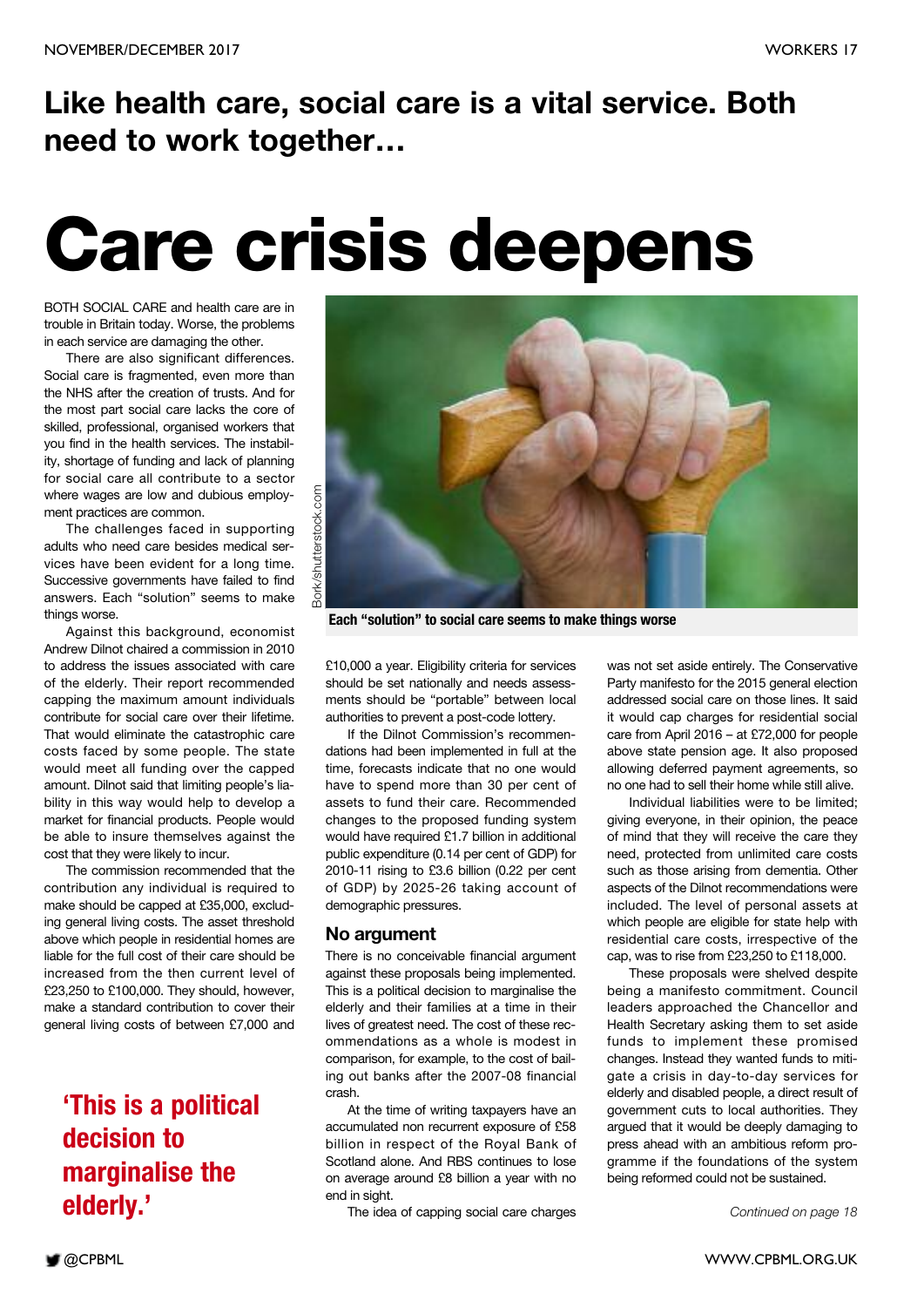# **Like health care, social care is a vital service. Both need to work together…**

# **Care crisis deepens**

BOTH SOCIAL CARE and health care are in trouble in Britain today. Worse, the problems in each service are damaging the other.

There are also significant differences. Social care is fragmented, even more than the NHS after the creation of trusts. And for the most part social care lacks the core of skilled, professional, organised workers that you find in the health services. The instability, shortage of funding and lack of planning for social care all contribute to a sector where wages are low and dubious employment practices are common.

The challenges faced in supporting adults who need care besides medical services have been evident for a long time. Successive governments have failed to find answers. Each "solution" seems to make things worse.

Against this background, economist Andrew Dilnot chaired a commission in 2010 to address the issues associated with care of the elderly. Their report recommended capping the maximum amount individuals contribute for social care over their lifetime. That would eliminate the catastrophic care costs faced by some people. The state would meet all funding over the capped amount. Dilnot said that limiting people's liability in this way would help to develop a market for financial products. People would be able to insure themselves against the cost that they were likely to incur.

The commission recommended that the contribution any individual is required to make should be capped at £35,000, excluding general living costs. The asset threshold above which people in residential homes are liable for the full cost of their care should be increased from the then current level of £23,250 to £100,000. They should, however, make a standard contribution to cover their general living costs of between £7,000 and

### **'This is a political decision to marginalise the elderly.'**



**Each "solution" to social care seems to make things worse**

£10,000 a year. Eligibility criteria for services should be set nationally and needs assessments should be "portable" between local authorities to prevent a post-code lottery.

If the Dilnot Commission's recommendations had been implemented in full at the time, forecasts indicate that no one would have to spend more than 30 per cent of assets to fund their care. Recommended changes to the proposed funding system would have required £1.7 billion in additional public expenditure (0.14 per cent of GDP) for 2010-11 rising to £3.6 billion (0.22 per cent of GDP) by 2025-26 taking account of demographic pressures.

#### **No argument**

There is no conceivable financial argument against these proposals being implemented. This is a political decision to marginalise the elderly and their families at a time in their lives of greatest need. The cost of these recommendations as a whole is modest in comparison, for example, to the cost of bailing out banks after the 2007-08 financial crash.

At the time of writing taxpayers have an accumulated non recurrent exposure of £58 billion in respect of the Royal Bank of Scotland alone. And RBS continues to lose on average around £8 billion a year with no end in sight.

The idea of capping social care charges

was not set aside entirely. The Conservative Party manifesto for the 2015 general election addressed social care on those lines. It said it would cap charges for residential social care from April 2016 – at £72,000 for people above state pension age. It also proposed allowing deferred payment agreements, so no one had to sell their home while still alive.

Individual liabilities were to be limited; giving everyone, in their opinion, the peace of mind that they will receive the care they need, protected from unlimited care costs such as those arising from dementia. Other aspects of the Dilnot recommendations were included. The level of personal assets at which people are eligible for state help with residential care costs, irrespective of the cap, was to rise from £23,250 to £118,000.

These proposals were shelved despite being a manifesto commitment. Council leaders approached the Chancellor and Health Secretary asking them to set aside funds to implement these promised changes. Instead they wanted funds to mitigate a crisis in day-to-day services for elderly and disabled people, a direct result of government cuts to local authorities. They argued that it would be deeply damaging to press ahead with an ambitious reform programme if the foundations of the system being reformed could not be sustained.

*Continued on page 18*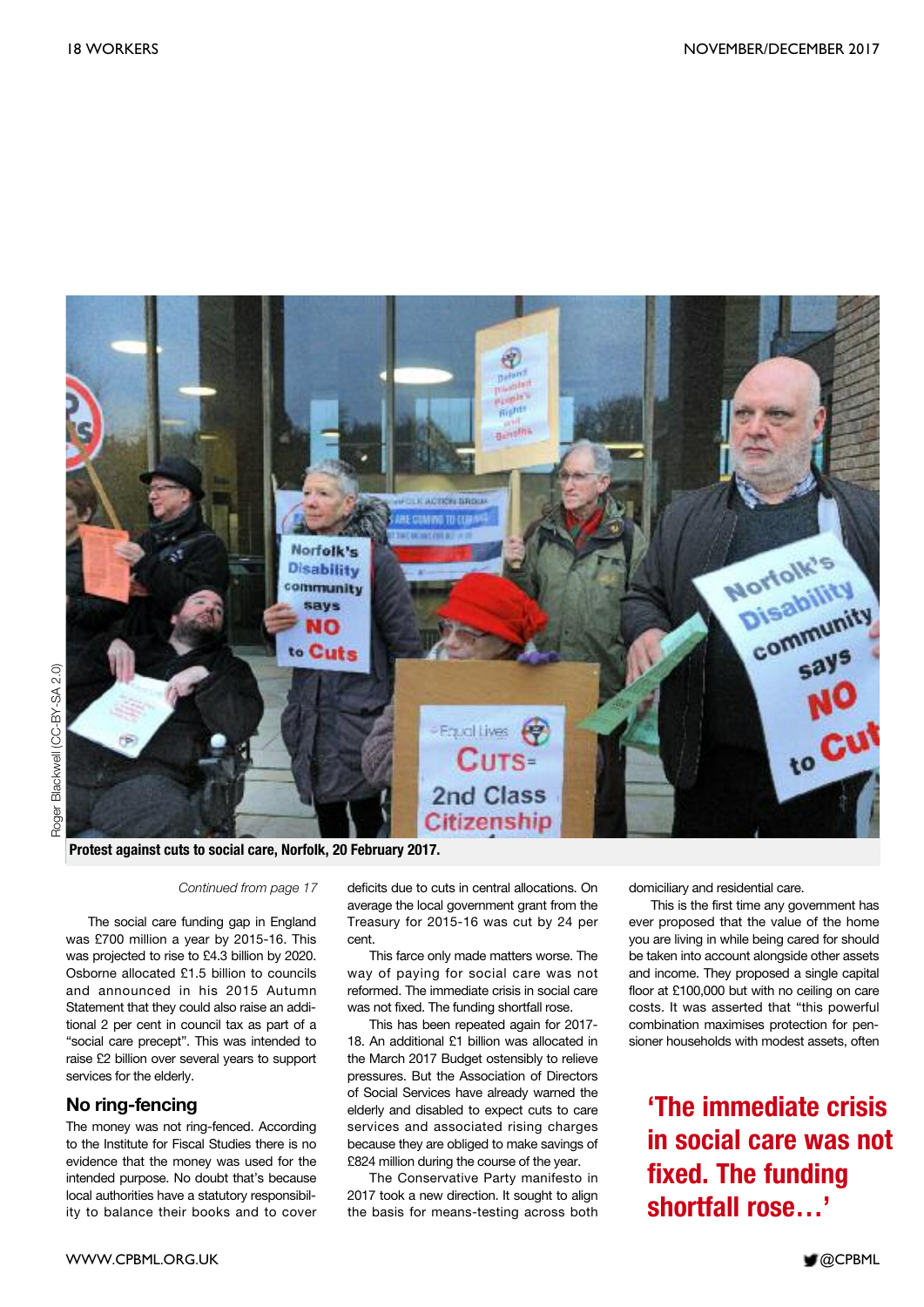

**Protest against cuts to social care, Norfolk, 20 February 2017.**

#### *Continued from page 17*

The social care funding gap in England was £700 million a year by 2015-16. This was projected to rise to £4.3 billion by 2020. Osborne allocated £1.5 billion to councils and announced in his 2015 Autumn Statement that they could also raise an additional 2 per cent in council tax as part of a "social care precept". This was intended to raise £2 billion over several years to support services for the elderly.

#### **No ring-fencing**

The money was not ring-fenced. According to the Institute for Fiscal Studies there is no evidence that the money was used for the intended purpose. No doubt that's because local authorities have a statutory responsibility to balance their books and to cover deficits due to cuts in central allocations. On average the local government grant from the Treasury for 2015-16 was cut by 24 per cent.

This farce only made matters worse. The way of paying for social care was not reformed. The immediate crisis in social care was not fixed. The funding shortfall rose.

This has been repeated again for 2017- 18. An additional £1 billion was allocated in the March 2017 Budget ostensibly to relieve pressures. But the Association of Directors of Social Services have already warned the elderly and disabled to expect cuts to care services and associated rising charges because they are obliged to make savings of £824 million during the course of the year.

The Conservative Party manifesto in 2017 took a new direction. It sought to align the basis for means-testing across both domiciliary and residential care.

This is the first time any government has ever proposed that the value of the home you are living in while being cared for should be taken into account alongside other assets and income. They proposed a single capital floor at £100,000 but with no ceiling on care costs. It was asserted that "this powerful combination maximises protection for pensioner households with modest assets, often

### **'The immediate crisis in social care was not fixed. The funding shortfall rose…'**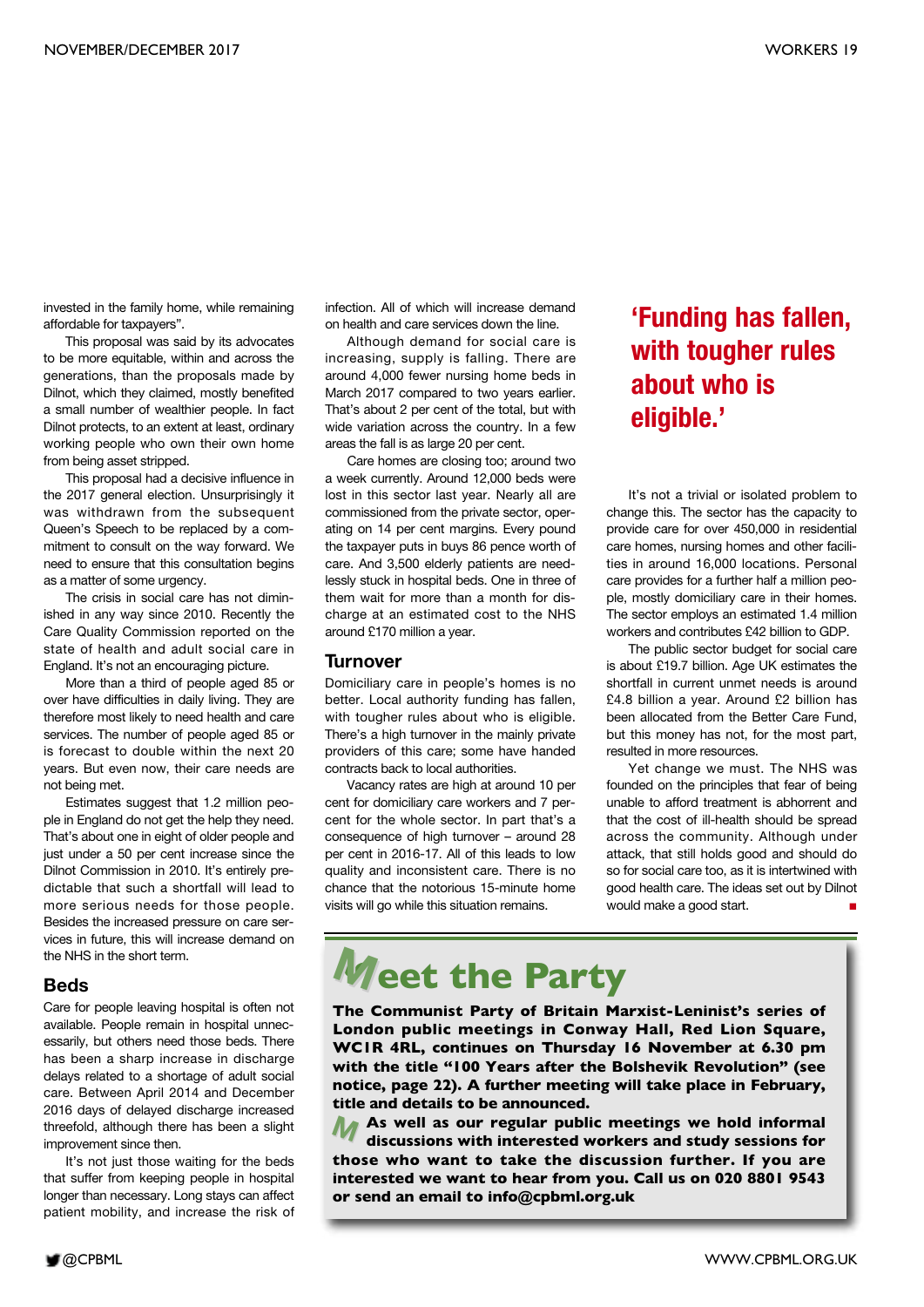invested in the family home, while remaining affordable for taxpayers".

This proposal was said by its advocates to be more equitable, within and across the generations, than the proposals made by Dilnot, which they claimed, mostly benefited a small number of wealthier people. In fact Dilnot protects, to an extent at least, ordinary working people who own their own home from being asset stripped.

This proposal had a decisive influence in the 2017 general election. Unsurprisingly it was withdrawn from the subsequent Queen's Speech to be replaced by a commitment to consult on the way forward. We need to ensure that this consultation begins as a matter of some urgency.

The crisis in social care has not diminished in any way since 2010. Recently the Care Quality Commission reported on the state of health and adult social care in England. It's not an encouraging picture.

More than a third of people aged 85 or over have difficulties in daily living. They are therefore most likely to need health and care services. The number of people aged 85 or is forecast to double within the next 20 years. But even now, their care needs are not being met.

Estimates suggest that 1.2 million people in England do not get the help they need. That's about one in eight of older people and just under a 50 per cent increase since the Dilnot Commission in 2010. It's entirely predictable that such a shortfall will lead to more serious needs for those people. Besides the increased pressure on care services in future, this will increase demand on the NHS in the short term.

#### **Beds**

Care for people leaving hospital is often not available. People remain in hospital unnecessarily, but others need those beds. There has been a sharp increase in discharge delays related to a shortage of adult social care. Between April 2014 and December 2016 days of delayed discharge increased threefold, although there has been a slight improvement since then.

It's not just those waiting for the beds that suffer from keeping people in hospital longer than necessary. Long stays can affect patient mobility, and increase the risk of

infection. All of which will increase demand on health and care services down the line.

Although demand for social care is increasing, supply is falling. There are around 4,000 fewer nursing home beds in March 2017 compared to two years earlier. That's about 2 per cent of the total, but with wide variation across the country. In a few areas the fall is as large 20 per cent.

Care homes are closing too; around two a week currently. Around 12,000 beds were lost in this sector last year. Nearly all are commissioned from the private sector, operating on 14 per cent margins. Every pound the taxpayer puts in buys 86 pence worth of care. And 3,500 elderly patients are needlessly stuck in hospital beds. One in three of them wait for more than a month for discharge at an estimated cost to the NHS around £170 million a year.

#### **Turnover**

Domiciliary care in people's homes is no better. Local authority funding has fallen, with tougher rules about who is eligible. There's a high turnover in the mainly private providers of this care; some have handed contracts back to local authorities.

Vacancy rates are high at around 10 per cent for domiciliary care workers and 7 percent for the whole sector. In part that's a consequence of high turnover – around 28 per cent in 2016-17. All of this leads to low quality and inconsistent care. There is no chance that the notorious 15-minute home visits will go while this situation remains.

### **'Funding has fallen, with tougher rules about who is eligible.'**

It's not a trivial or isolated problem to change this. The sector has the capacity to provide care for over 450,000 in residential care homes, nursing homes and other facilities in around 16,000 locations. Personal care provides for a further half a million people, mostly domiciliary care in their homes. The sector employs an estimated 1.4 million workers and contributes £42 billion to GDP.

The public sector budget for social care is about £19.7 billion. Age UK estimates the shortfall in current unmet needs is around £4.8 billion a year. Around £2 billion has been allocated from the Better Care Fund, but this money has not, for the most part, resulted in more resources.

Yet change we must. The NHS was founded on the principles that fear of being unable to afford treatment is abhorrent and that the cost of ill-health should be spread across the community. Although under attack, that still holds good and should do so for social care too, as it is intertwined with good health care. The ideas set out by Dilnot would make a good start. **■**

# **eet the Party**

**The Communist Party of Britain Marxist-Leninist's series of London public meetings in Conway Hall, Red Lion Square, WC1R 4RL, continues on Thursday 16 November at 6.30 pm with the title "100 Years after the Bolshevik Revolution" (see notice, page 22). A further meeting will take place in February, title and details to be announced.**

**M those who want to take the discussion further. If you are As well as our regular public meetings we hold informal discussions with interested workers and study sessions for interested we want to hear from you. Call us on 020 8801 9543 or send an email to info@cpbml.org.uk M**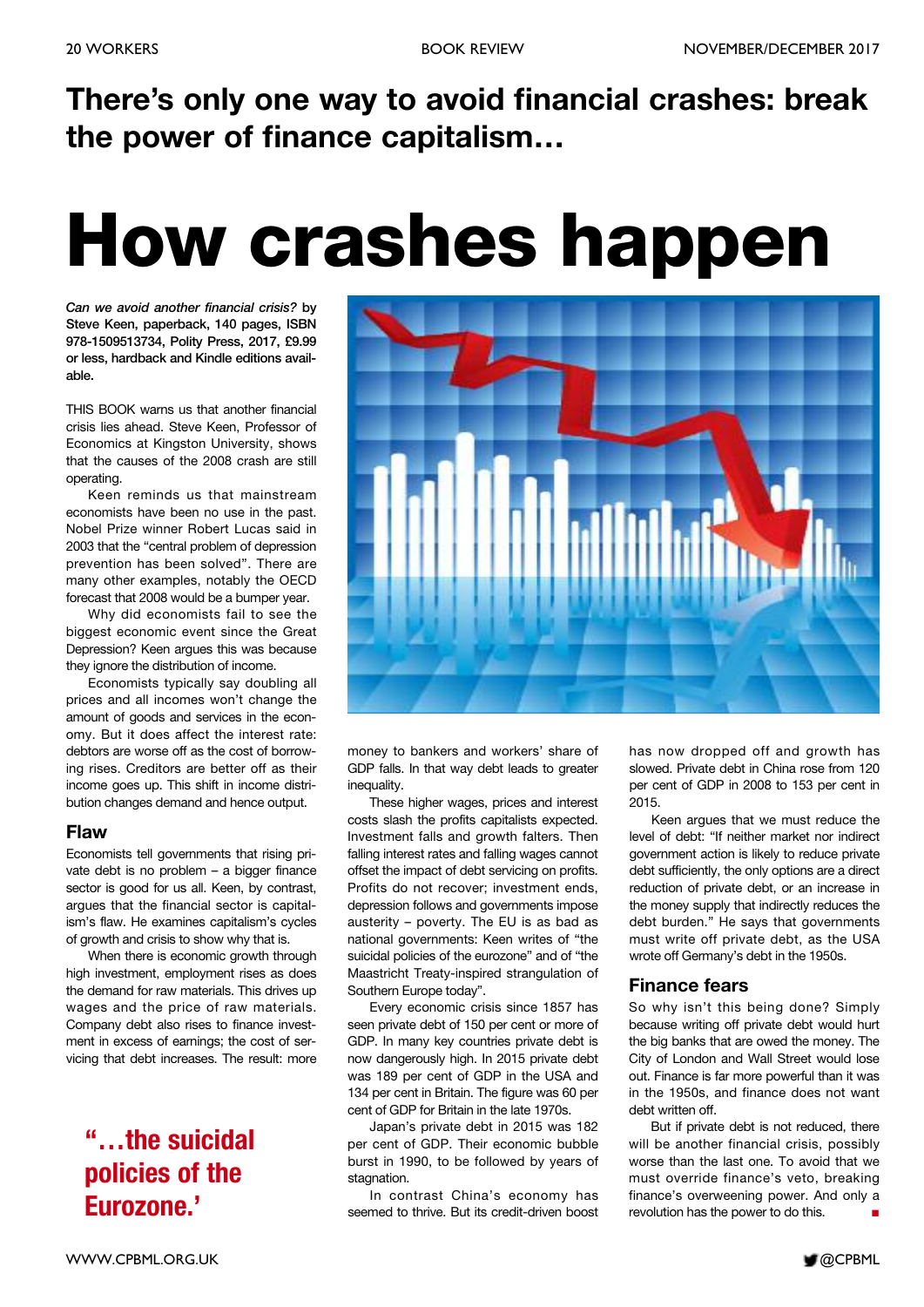# **There's only one way to avoid financial crashes: break the power of finance capitalism…**

# **How crashes happen**

*Can we avoid another financial crisis?* **by Steve Keen, paperback, 140 pages, ISBN 978-1509513734, Polity Press, 2017, £9.99 or less, hardback and Kindle editions available.**

THIS BOOK warns us that another financial crisis lies ahead. Steve Keen, Professor of Economics at Kingston University, shows that the causes of the 2008 crash are still operating.

Keen reminds us that mainstream economists have been no use in the past. Nobel Prize winner Robert Lucas said in 2003 that the "central problem of depression prevention has been solved". There are many other examples, notably the OECD forecast that 2008 would be a bumper year.

Why did economists fail to see the biggest economic event since the Great Depression? Keen argues this was because they ignore the distribution of income.

Economists typically say doubling all prices and all incomes won't change the amount of goods and services in the economy. But it does affect the interest rate: debtors are worse off as the cost of borrowing rises. Creditors are better off as their income goes up. This shift in income distribution changes demand and hence output.

#### **Flaw**

Economists tell governments that rising private debt is no problem – a bigger finance sector is good for us all. Keen, by contrast, argues that the financial sector is capitalism's flaw. He examines capitalism's cycles of growth and crisis to show why that is.

When there is economic growth through high investment, employment rises as does the demand for raw materials. This drives up wages and the price of raw materials. Company debt also rises to finance investment in excess of earnings; the cost of servicing that debt increases. The result: more

### **"…the suicidal policies of the Eurozone.'**



money to bankers and workers' share of GDP falls. In that way debt leads to greater inequality.

These higher wages, prices and interest costs slash the profits capitalists expected. Investment falls and growth falters. Then falling interest rates and falling wages cannot offset the impact of debt servicing on profits. Profits do not recover; investment ends, depression follows and governments impose austerity – poverty. The EU is as bad as national governments: Keen writes of "the suicidal policies of the eurozone" and of "the Maastricht Treaty-inspired strangulation of Southern Europe today".

Every economic crisis since 1857 has seen private debt of 150 per cent or more of GDP. In many key countries private debt is now dangerously high. In 2015 private debt was 189 per cent of GDP in the USA and 134 per cent in Britain. The figure was 60 per cent of GDP for Britain in the late 1970s.

Japan's private debt in 2015 was 182 per cent of GDP. Their economic bubble burst in 1990, to be followed by years of stagnation.

In contrast China's economy has seemed to thrive. But its credit-driven boost

has now dropped off and growth has slowed. Private debt in China rose from 120 per cent of GDP in 2008 to 153 per cent in 2015.

Keen argues that we must reduce the level of debt: "If neither market nor indirect government action is likely to reduce private debt sufficiently, the only options are a direct reduction of private debt, or an increase in the money supply that indirectly reduces the debt burden." He says that governments must write off private debt, as the USA wrote off Germany's debt in the 1950s.

#### **Finance fears**

So why isn't this being done? Simply because writing off private debt would hurt the big banks that are owed the money. The City of London and Wall Street would lose out. Finance is far more powerful than it was in the 1950s, and finance does not want debt written off.

But if private debt is not reduced, there will be another financial crisis, possibly worse than the last one. To avoid that we must override finance's veto, breaking finance's overweening power. And only a revolution has the power to do this. **■**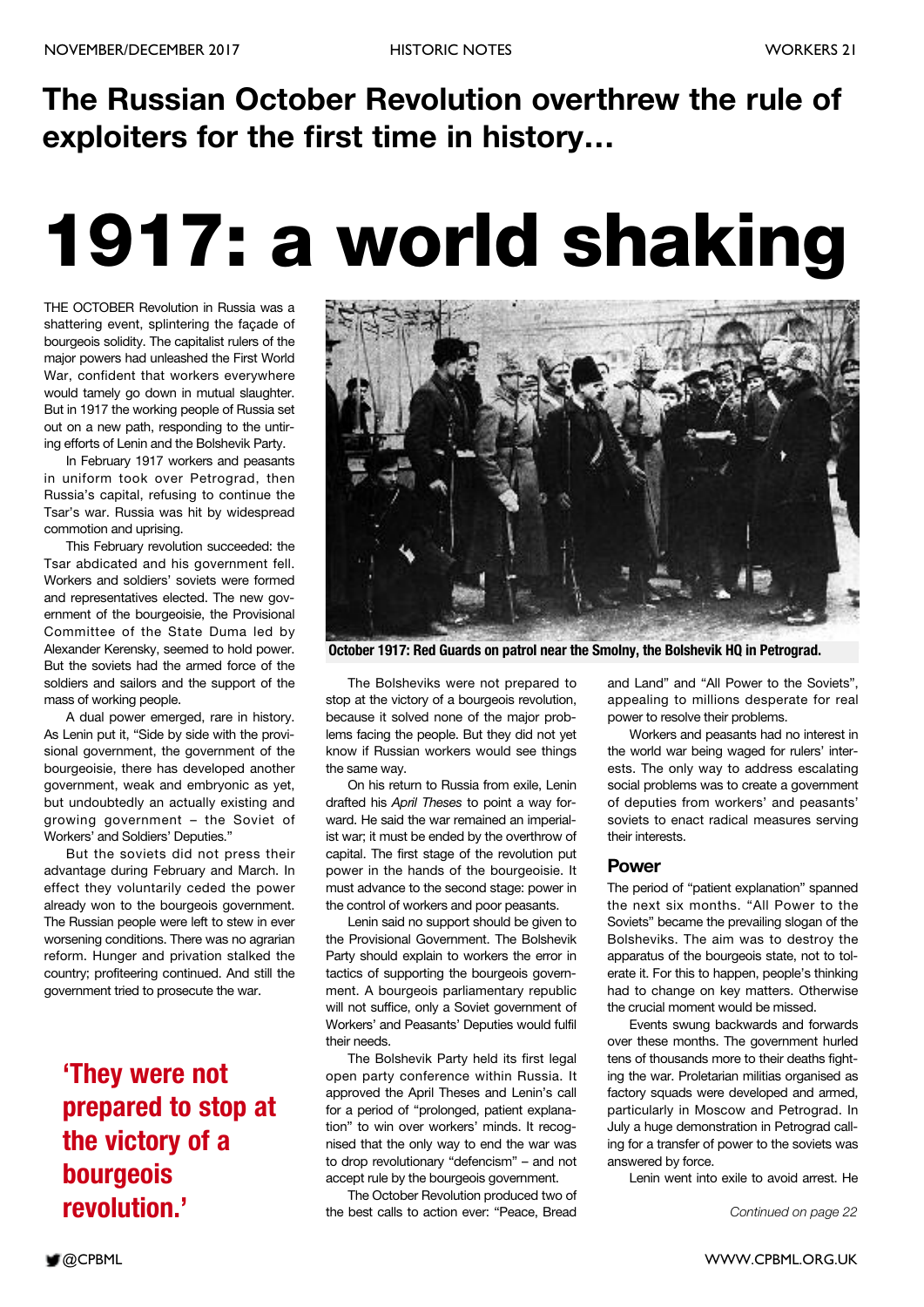# **The Russian October Revolution overthrew the rule of exploiters for the first time in history…**

# **1917: a world shaking**

THE OCTOBER Revolution in Russia was a shattering event, splintering the façade of bourgeois solidity. The capitalist rulers of the major powers had unleashed the First World War, confident that workers everywhere would tamely go down in mutual slaughter. But in 1917 the working people of Russia set out on a new path, responding to the untiring efforts of Lenin and the Bolshevik Party.

In February 1917 workers and peasants in uniform took over Petrograd, then Russia's capital, refusing to continue the Tsar's war. Russia was hit by widespread commotion and uprising.

This February revolution succeeded: the Tsar abdicated and his government fell. Workers and soldiers' soviets were formed and representatives elected. The new government of the bourgeoisie, the Provisional Committee of the State Duma led by Alexander Kerensky, seemed to hold power. But the soviets had the armed force of the soldiers and sailors and the support of the mass of working people.

A dual power emerged, rare in history. As Lenin put it, "Side by side with the provisional government, the government of the bourgeoisie, there has developed another government, weak and embryonic as yet, but undoubtedly an actually existing and growing government – the Soviet of Workers' and Soldiers' Deputies."

But the soviets did not press their advantage during February and March. In effect they voluntarily ceded the power already won to the bourgeois government. The Russian people were left to stew in ever worsening conditions. There was no agrarian reform. Hunger and privation stalked the country; profiteering continued. And still the government tried to prosecute the war.

**'They were not prepared to stop at the victory of a bourgeois revolution.'**



**October 1917: Red Guards on patrol near the Smolny, the Bolshevik HQ in Petrograd.**

The Bolsheviks were not prepared to stop at the victory of a bourgeois revolution, because it solved none of the major problems facing the people. But they did not yet know if Russian workers would see things the same way.

On his return to Russia from exile, Lenin drafted his *April Theses* to point a way forward. He said the war remained an imperialist war; it must be ended by the overthrow of capital. The first stage of the revolution put power in the hands of the bourgeoisie. It must advance to the second stage: power in the control of workers and poor peasants.

Lenin said no support should be given to the Provisional Government. The Bolshevik Party should explain to workers the error in tactics of supporting the bourgeois government. A bourgeois parliamentary republic will not suffice, only a Soviet government of Workers' and Peasants' Deputies would fulfil their needs.

The Bolshevik Party held its first legal open party conference within Russia. It approved the April Theses and Lenin's call for a period of "prolonged, patient explanation" to win over workers' minds. It recognised that the only way to end the war was to drop revolutionary "defencism" – and not accept rule by the bourgeois government.

The October Revolution produced two of the best calls to action ever: "Peace, Bread

and Land" and "All Power to the Soviets", appealing to millions desperate for real power to resolve their problems.

Workers and peasants had no interest in the world war being waged for rulers' interests. The only way to address escalating social problems was to create a government of deputies from workers' and peasants' soviets to enact radical measures serving their interests.

#### **Power**

The period of "patient explanation" spanned the next six months. "All Power to the Soviets" became the prevailing slogan of the Bolsheviks. The aim was to destroy the apparatus of the bourgeois state, not to tolerate it. For this to happen, people's thinking had to change on key matters. Otherwise the crucial moment would be missed.

Events swung backwards and forwards over these months. The government hurled tens of thousands more to their deaths fighting the war. Proletarian militias organised as factory squads were developed and armed, particularly in Moscow and Petrograd. In July a huge demonstration in Petrograd calling for a transfer of power to the soviets was answered by force.

Lenin went into exile to avoid arrest. He

*Continued on page 22*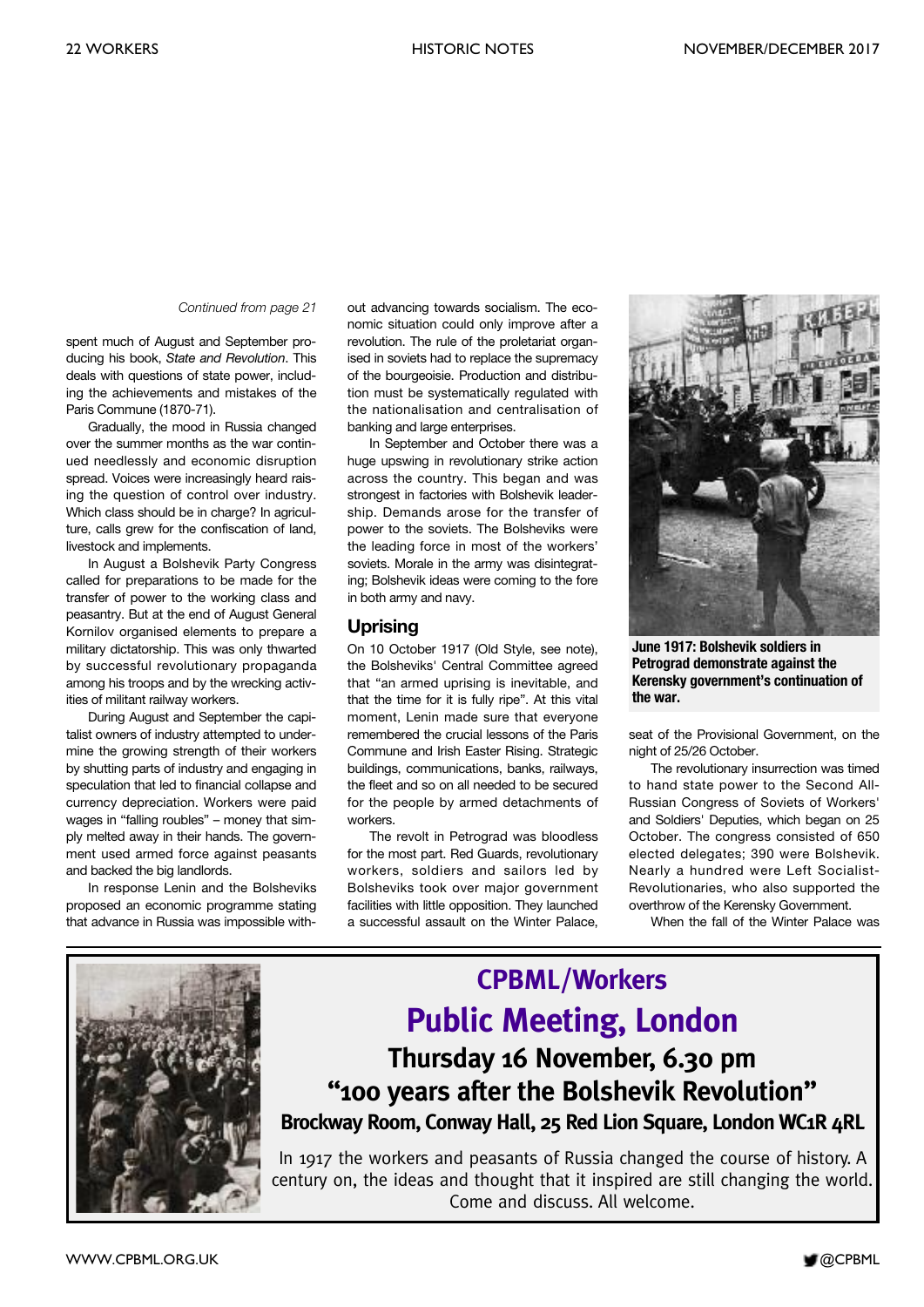#### *Continued from page 21*

spent much of August and September producing his book, *State and Revolution*. This deals with questions of state power, including the achievements and mistakes of the Paris Commune (1870-71).

Gradually, the mood in Russia changed over the summer months as the war continued needlessly and economic disruption spread. Voices were increasingly heard raising the question of control over industry. Which class should be in charge? In agriculture, calls grew for the confiscation of land, livestock and implements.

In August a Bolshevik Party Congress called for preparations to be made for the transfer of power to the working class and peasantry. But at the end of August General Kornilov organised elements to prepare a military dictatorship. This was only thwarted by successful revolutionary propaganda among his troops and by the wrecking activities of militant railway workers.

During August and September the capitalist owners of industry attempted to undermine the growing strength of their workers by shutting parts of industry and engaging in speculation that led to financial collapse and currency depreciation. Workers were paid wages in "falling roubles" – money that simply melted away in their hands. The government used armed force against peasants and backed the big landlords.

In response Lenin and the Bolsheviks proposed an economic programme stating that advance in Russia was impossible without advancing towards socialism. The economic situation could only improve after a revolution. The rule of the proletariat organised in soviets had to replace the supremacy of the bourgeoisie. Production and distribution must be systematically regulated with the nationalisation and centralisation of banking and large enterprises.

In September and October there was a huge upswing in revolutionary strike action across the country. This began and was strongest in factories with Bolshevik leadership. Demands arose for the transfer of power to the soviets. The Bolsheviks were the leading force in most of the workers' soviets. Morale in the army was disintegrating; Bolshevik ideas were coming to the fore in both army and navy.

#### **Uprising**

On 10 October 1917 (Old Style, see note), the Bolsheviks' Central Committee agreed that "an armed uprising is inevitable, and that the time for it is fully ripe". At this vital moment, Lenin made sure that everyone remembered the crucial lessons of the Paris Commune and Irish Easter Rising. Strategic buildings, communications, banks, railways, the fleet and so on all needed to be secured for the people by armed detachments of workers.

The revolt in Petrograd was bloodless for the most part. Red Guards, revolutionary workers, soldiers and sailors led by Bolsheviks took over major government facilities with little opposition. They launched a successful assault on the Winter Palace,



**June 1917: Bolshevik soldiers in Petrograd demonstrate against the Kerensky government's continuation of the war.**

seat of the Provisional Government, on the night of 25/26 October.

The revolutionary insurrection was timed to hand state power to the Second All-Russian Congress of Soviets of Workers' and Soldiers' Deputies, which began on 25 October. The congress consisted of 650 elected delegates; 390 were Bolshevik. Nearly a hundred were Left Socialist-Revolutionaries, who also supported the overthrow of the Kerensky Government.

When the fall of the Winter Palace was



### **CPBML/Workers Public Meeting, London Thursday 16 November, 6.30 pm "100 years after the Bolshevik Revolution" Brockway Room, Conway Hall, 25 Red Lion Square, London WC1R 4RL**

In 1917 the workers and peasants of Russia changed the course of history. A century on, the ideas and thought that it inspired are still changing the world. Come and discuss. All welcome.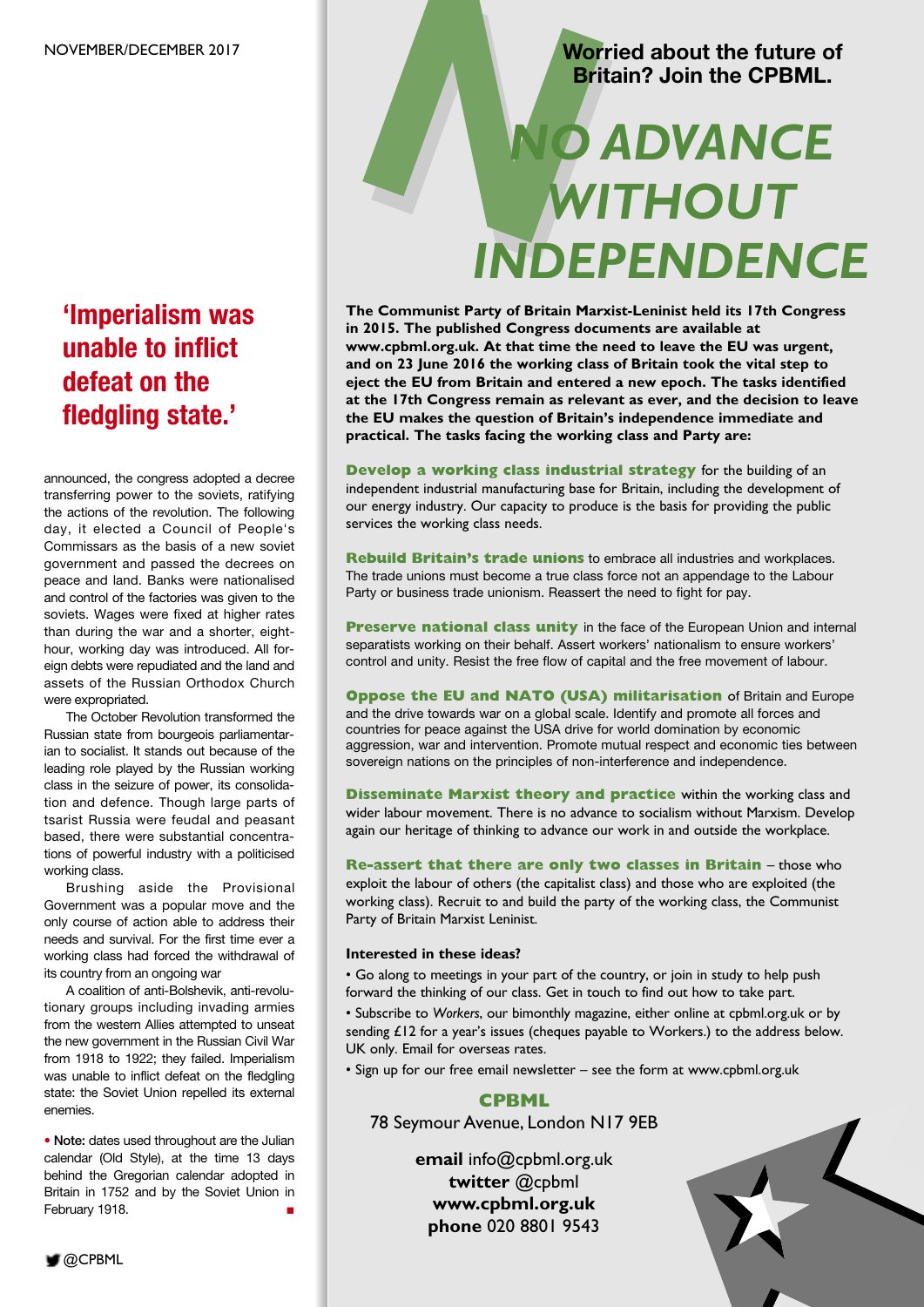### **'Imperialism was unable to inflict defeat on the fledgling state.'**

announced, the congress adopted a decree transferring power to the soviets, ratifying the actions of the revolution. The following day, it elected a Council of People's Commissars as the basis of a new soviet government and passed the decrees on peace and land. Banks were nationalised and control of the factories was given to the soviets. Wages were fixed at higher rates than during the war and a shorter, eighthour, working day was introduced. All foreign debts were repudiated and the land and assets of the Russian Orthodox Church were expropriated.

The October Revolution transformed the Russian state from bourgeois parliamentarian to socialist. It stands out because of the leading role played by the Russian working class in the seizure of power, its consolidation and defence. Though large parts of tsarist Russia were feudal and peasant based, there were substantial concentrations of powerful industry with a politicised working class.

Brushing aside the Provisional Government was a popular move and the only course of action able to address their needs and survival. For the first time ever a working class had forced the withdrawal of its country from an ongoing war

A coalition of anti-Bolshevik, anti-revolutionary groups including invading armies from the western Allies attempted to unseat the new government in the Russian Civil War from 1918 to 1922; they failed. Imperialism was unable to inflict defeat on the fledgling state: the Soviet Union repelled its external enemies.

**• Note:** dates used throughout are the Julian calendar (Old Style), at the time 13 days behind the Gregorian calendar adopted in Britain in 1752 and by the Soviet Union in February 1918.

#### **Worried about the future of Britain? Join the CPBML.**

# Worried about the future of Britain? Join the CPBML. *WITHOUT INDEPENDENCE*

**The Communist Party of Britain Marxist-Leninist held its 17th Congress in 2015. The published Congress documents are available at www.cpbml.org.uk. At that time the need to leave the EU was urgent, and on 23 June 2016 the working class of Britain took the vital step to eject the EU from Britain and entered a new epoch. The tasks identified at the 17th Congress remain as relevant as ever, and the decision to leave the EU makes the question of Britain's independence immediate and practical. The tasks facing the working class and Party are:**

**Develop a working class industrial strategy** for the building of an independent industrial manufacturing base for Britain, including the development of our energy industry. Our capacity to produce is the basis for providing the public services the working class needs.

**Rebuild Britain's trade unions** to embrace all industries and workplaces. The trade unions must become a true class force not an appendage to the Labour Party or business trade unionism. Reassert the need to fight for pay.

**Preserve national class unity** in the face of the European Union and internal separatists working on their behalf. Assert workers' nationalism to ensure workers' control and unity. Resist the free flow of capital and the free movement of labour.

**Oppose the EU and NATO (USA) militarisation** of Britain and Europe and the drive towards war on a global scale. Identify and promote all forces and countries for peace against the USA drive for world domination by economic aggression, war and intervention. Promote mutual respect and economic ties between sovereign nations on the principles of non-interference and independence.

**Disseminate Marxist theory and practice** within the working class and wider labour movement. There is no advance to socialism without Marxism. Develop again our heritage of thinking to advance our work in and outside the workplace.

**Re-assert that there are only two classes in Britain** – those who exploit the labour of others (the capitalist class) and those who are exploited (the working class). Recruit to and build the party of the working class, the Communist Party of Britain Marxist Leninist.

#### **Interested in these ideas?**

• Go along to meetings in your part of the country, or join in study to help push forward the thinking of our class. Get in touch to find out how to take part.

• Subscribe to *Workers*, our bimonthly magazine, either online at cpbml.org.uk or by sending £12 for a year's issues (cheques payable to Workers.) to the address below. UK only. Email for overseas rates.

• Sign up for our free email newsletter – see the form at www.cpbml.org.uk

#### **CPBML**

78 Seymour Avenue, London N17 9EB

**email** info@cpbml.org.uk **twitter** @cpbml **www.cpbml.org.uk phone** 020 8801 9543